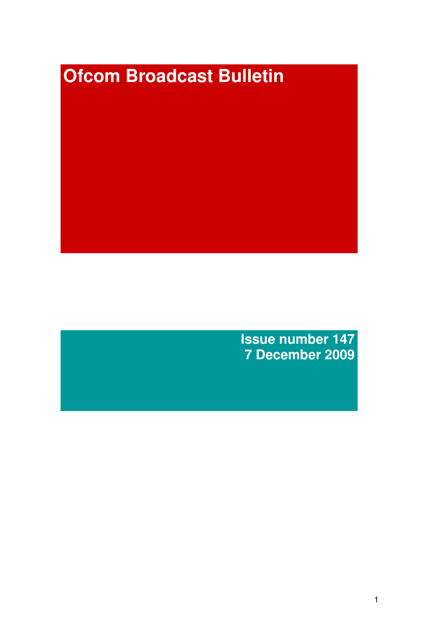# **Ofcom Broadcast Bulletin**

**Issue number 147 7 December 2009**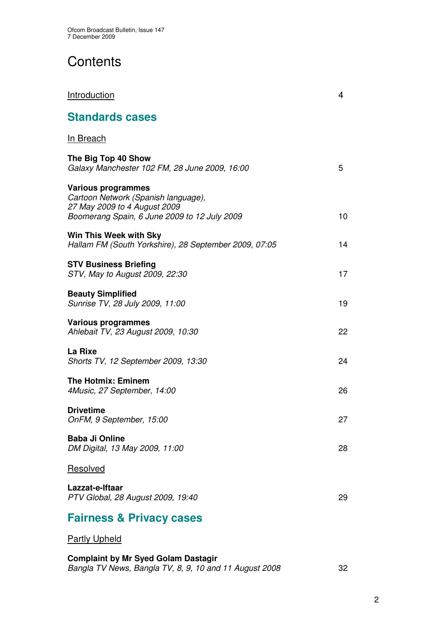# **Contents**

| <b>Standards cases</b>                                                                                                                           |    |
|--------------------------------------------------------------------------------------------------------------------------------------------------|----|
| In Breach                                                                                                                                        |    |
| The Big Top 40 Show<br>Galaxy Manchester 102 FM, 28 June 2009, 16:00                                                                             | 5  |
| <b>Various programmes</b><br>Cartoon Network (Spanish language),<br>27 May 2009 to 4 August 2009<br>Boomerang Spain, 6 June 2009 to 12 July 2009 | 10 |
| Win This Week with Sky<br>Hallam FM (South Yorkshire), 28 September 2009, 07:05                                                                  | 14 |
| <b>STV Business Briefing</b><br>STV, May to August 2009, 22:30                                                                                   | 17 |
| <b>Beauty Simplified</b><br>Sunrise TV, 28 July 2009, 11:00                                                                                      | 19 |
| <b>Various programmes</b><br>Ahlebait TV, 23 August 2009, 10:30                                                                                  | 22 |
| La Rixe<br>Shorts TV, 12 September 2009, 13:30                                                                                                   | 24 |
| <b>The Hotmix: Eminem</b><br>4Music, 27 September, 14:00                                                                                         | 26 |
| <b>Drivetime</b><br>OnFM, 9 September, 15:00                                                                                                     | 27 |
| <b>Baba Ji Online</b><br>DM Digital, 13 May 2009, 11:00                                                                                          | 28 |
| Resolved                                                                                                                                         |    |
| Lazzat-e-Iftaar<br>PTV Global, 28 August 2009, 19:40                                                                                             | 29 |

**Introduction** 4

# **Fairness & Privacy cases**

## Partly Upheld

**Complaint by Mr Syed Golam Dastagir** *Bangla TV News, Bangla TV, 8, 9, 10 and 11 August 2008* 32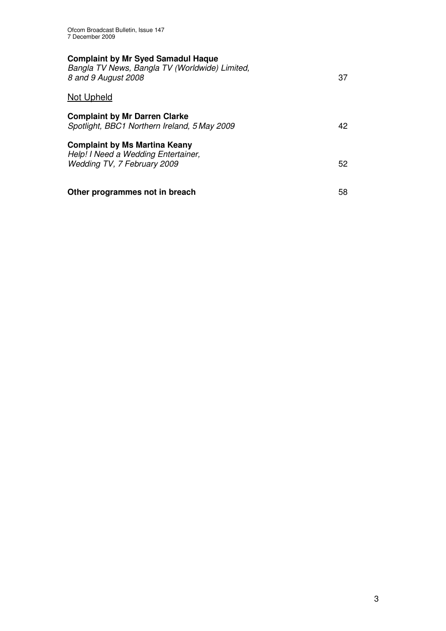| <b>Complaint by Mr Syed Samadul Haque</b><br>Bangla TV News, Bangla TV (Worldwide) Limited,<br>8 and 9 August 2008 | 37 |
|--------------------------------------------------------------------------------------------------------------------|----|
| Not Upheld                                                                                                         |    |
| <b>Complaint by Mr Darren Clarke</b><br>Spotlight, BBC1 Northern Ireland, 5 May 2009                               | 42 |
| <b>Complaint by Ms Martina Keany</b><br>Help! I Need a Wedding Entertainer,<br>Wedding TV, 7 February 2009         | 52 |
| Other programmes not in breach                                                                                     | 58 |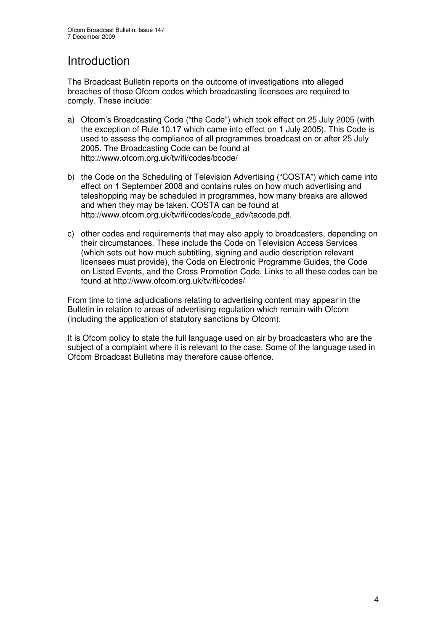## Introduction

The Broadcast Bulletin reports on the outcome of investigations into alleged breaches of those Ofcom codes which broadcasting licensees are required to comply. These include:

- a) Ofcom's Broadcasting Code ("the Code") which took effect on 25 July 2005 (with the exception of Rule 10.17 which came into effect on 1 July 2005). This Code is used to assess the compliance of all programmes broadcast on or after 25 July 2005. The Broadcasting Code can be found at http://www.ofcom.org.uk/tv/ifi/codes/bcode/
- b) the Code on the Scheduling of Television Advertising ("COSTA") which came into effect on 1 September 2008 and contains rules on how much advertising and teleshopping may be scheduled in programmes, how many breaks are allowed and when they may be taken. COSTA can be found at http://www.ofcom.org.uk/tv/ifi/codes/code\_adv/tacode.pdf.
- c) other codes and requirements that may also apply to broadcasters, depending on their circumstances. These include the Code on Television Access Services (which sets out how much subtitling, signing and audio description relevant licensees must provide), the Code on Electronic Programme Guides, the Code on Listed Events, and the Cross Promotion Code. Links to all these codes can be found at http://www.ofcom.org.uk/tv/ifi/codes/

From time to time adjudications relating to advertising content may appear in the Bulletin in relation to areas of advertising regulation which remain with Ofcom (including the application of statutory sanctions by Ofcom).

It is Ofcom policy to state the full language used on air by broadcasters who are the subject of a complaint where it is relevant to the case. Some of the language used in Ofcom Broadcast Bulletins may therefore cause offence.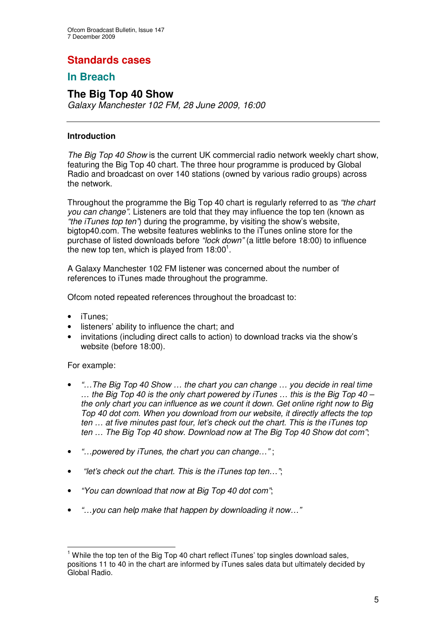## **Standards cases**

## **In Breach**

## **The Big Top 40 Show**

*Galaxy Manchester 102 FM, 28 June 2009, 16:00*

## **Introduction**

*The Big Top 40 Show* is the current UK commercial radio network weekly chart show, featuring the Big Top 40 chart. The three hour programme is produced by Global Radio and broadcast on over 140 stations (owned by various radio groups) across the network.

Throughout the programme the Big Top 40 chart is regularly referred to as *"the chart you can change"*. Listeners are told that they may influence the top ten (known as *"the iTunes top ten"*) during the programme, by visiting the show's website, bigtop40.com. The website features weblinks to the iTunes online store for the purchase of listed downloads before *"lock down"* (a little before 18:00) to influence the new top ten, which is played from  $18:00^1$ .

A Galaxy Manchester 102 FM listener was concerned about the number of references to iTunes made throughout the programme.

Ofcom noted repeated references throughout the broadcast to:

- iTunes;
- listeners' ability to influence the chart; and
- invitations (including direct calls to action) to download tracks via the show's website (before 18:00).

## For example:

- *"…The Big Top 40 Show … the chart you can change … you decide in real time … the Big Top 40 is the only chart powered by iTunes … this is the Big Top 40 – the only chart you can influence as we count it down. Get online right now to Big Top 40 dot com. When you download from our website, it directly affects the top ten … at five minutes past four, let's check out the chart. This is the iTunes top ten … The Big Top 40 show. Download now at The Big Top 40 Show dot com"*;
- *"…powered by iTunes, the chart you can change…"* ;
- *"let's check out the chart. This is the iTunes top ten…"*;
- *"You can download that now at Big Top 40 dot com"*;
- *"…you can help make that happen by downloading it now…"*

<sup>&</sup>lt;sup>1</sup> While the top ten of the Big Top 40 chart reflect iTunes' top singles download sales. positions 11 to 40 in the chart are informed by iTunes sales data but ultimately decided by Global Radio.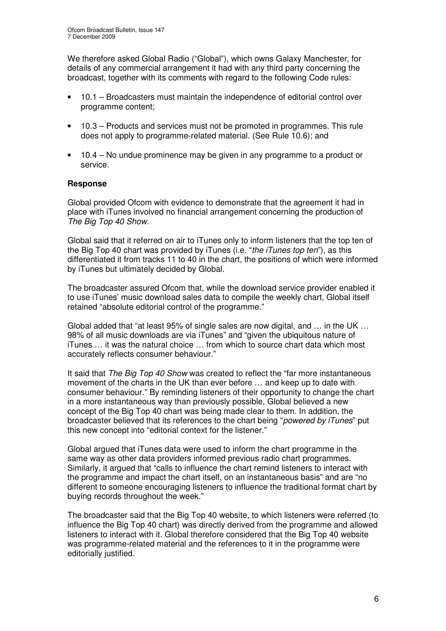We therefore asked Global Radio ("Global"), which owns Galaxy Manchester, for details of any commercial arrangement it had with any third party concerning the broadcast, together with its comments with regard to the following Code rules:

- 10.1 Broadcasters must maintain the independence of editorial control over programme content;
- 10.3 Products and services must not be promoted in programmes. This rule does not apply to programme-related material. (See Rule 10.6); and
- 10.4 No undue prominence may be given in any programme to a product or service.

## **Response**

Global provided Ofcom with evidence to demonstrate that the agreement it had in place with iTunes involved no financial arrangement concerning the production of *The Big Top 40 Show*.

Global said that it referred on air to iTunes only to inform listeners that the top ten of the Big Top 40 chart was provided by iTunes (i.e. "*the iTunes top ten*"), as this differentiated it from tracks 11 to 40 in the chart, the positions of which were informed by iTunes but ultimately decided by Global.

The broadcaster assured Ofcom that, while the download service provider enabled it to use iTunes' music download sales data to compile the weekly chart, Global itself retained "absolute editorial control of the programme."

Global added that "at least 95% of single sales are now digital, and … in the UK … 98% of all music downloads are via iTunes" and "given the ubiquitous nature of iTunes … it was the natural choice … from which to source chart data which most accurately reflects consumer behaviour."

It said that *The Big Top 40 Show* was created to reflect the "far more instantaneous movement of the charts in the UK than ever before … and keep up to date with consumer behaviour." By reminding listeners of their opportunity to change the chart in a more instantaneous way than previously possible, Global believed a new concept of the Big Top 40 chart was being made clear to them. In addition, the broadcaster believed that its references to the chart being "*powered by iTunes*" put this new concept into "editorial context for the listener."

Global argued that iTunes data were used to inform the chart programme in the same way as other data providers informed previous radio chart programmes. Similarly, it argued that "calls to influence the chart remind listeners to interact with the programme and impact the chart itself, on an instantaneous basis" and are "no different to someone encouraging listeners to influence the traditional format chart by buying records throughout the week."

The broadcaster said that the Big Top 40 website, to which listeners were referred (to influence the Big Top 40 chart) was directly derived from the programme and allowed listeners to interact with it. Global therefore considered that the Big Top 40 website was programme-related material and the references to it in the programme were editorially justified.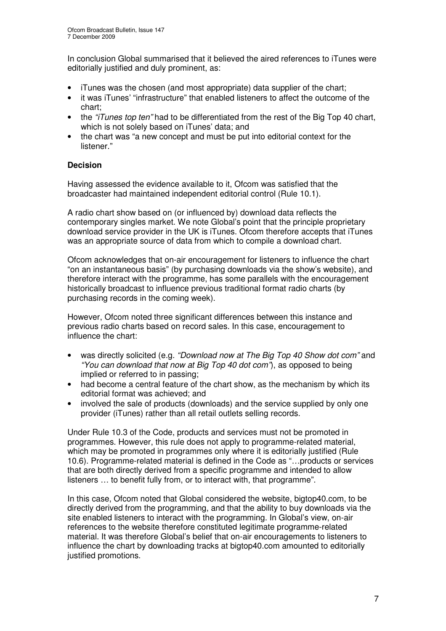In conclusion Global summarised that it believed the aired references to iTunes were editorially justified and duly prominent, as:

- iTunes was the chosen (and most appropriate) data supplier of the chart;
- it was iTunes' "infrastructure" that enabled listeners to affect the outcome of the chart;
- the *"iTunes top ten"* had to be differentiated from the rest of the Big Top 40 chart, which is not solely based on iTunes' data; and
- the chart was "a new concept and must be put into editorial context for the listener."

## **Decision**

Having assessed the evidence available to it, Ofcom was satisfied that the broadcaster had maintained independent editorial control (Rule 10.1).

A radio chart show based on (or influenced by) download data reflects the contemporary singles market. We note Global's point that the principle proprietary download service provider in the UK is iTunes. Ofcom therefore accepts that iTunes was an appropriate source of data from which to compile a download chart.

Ofcom acknowledges that on-air encouragement for listeners to influence the chart "on an instantaneous basis" (by purchasing downloads via the show's website), and therefore interact with the programme, has some parallels with the encouragement historically broadcast to influence previous traditional format radio charts (by purchasing records in the coming week).

However, Ofcom noted three significant differences between this instance and previous radio charts based on record sales. In this case, encouragement to influence the chart:

- was directly solicited (e.g. *"Download now at The Big Top 40 Show dot com"* and *"You can download that now at Big Top 40 dot com"*), as opposed to being implied or referred to in passing;
- had become a central feature of the chart show, as the mechanism by which its editorial format was achieved; and
- involved the sale of products (downloads) and the service supplied by only one provider (iTunes) rather than all retail outlets selling records.

Under Rule 10.3 of the Code, products and services must not be promoted in programmes. However, this rule does not apply to programme-related material, which may be promoted in programmes only where it is editorially justified (Rule 10.6). Programme-related material is defined in the Code as "…products or services that are both directly derived from a specific programme and intended to allow listeners … to benefit fully from, or to interact with, that programme".

In this case, Ofcom noted that Global considered the website, bigtop40.com, to be directly derived from the programming, and that the ability to buy downloads via the site enabled listeners to interact with the programming. In Global's view, on-air references to the website therefore constituted legitimate programme-related material. It was therefore Global's belief that on-air encouragements to listeners to influence the chart by downloading tracks at bigtop40.com amounted to editorially justified promotions.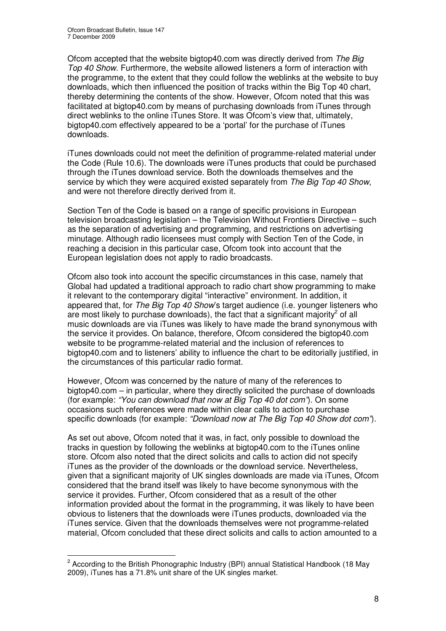Ofcom accepted that the website bigtop40.com was directly derived from *The Big Top 40 Show*. Furthermore, the website allowed listeners a form of interaction with the programme, to the extent that they could follow the weblinks at the website to buy downloads, which then influenced the position of tracks within the Big Top 40 chart, thereby determining the contents of the show. However, Ofcom noted that this was facilitated at bigtop40.com by means of purchasing downloads from iTunes through direct weblinks to the online iTunes Store. It was Ofcom's view that, ultimately, bigtop40.com effectively appeared to be a 'portal' for the purchase of iTunes downloads.

iTunes downloads could not meet the definition of programme-related material under the Code (Rule 10.6). The downloads were iTunes products that could be purchased through the iTunes download service. Both the downloads themselves and the service by which they were acquired existed separately from *The Big Top 40 Show*, and were not therefore directly derived from it.

Section Ten of the Code is based on a range of specific provisions in European television broadcasting legislation – the Television Without Frontiers Directive – such as the separation of advertising and programming, and restrictions on advertising minutage. Although radio licensees must comply with Section Ten of the Code, in reaching a decision in this particular case, Ofcom took into account that the European legislation does not apply to radio broadcasts.

Ofcom also took into account the specific circumstances in this case, namely that Global had updated a traditional approach to radio chart show programming to make it relevant to the contemporary digital "interactive" environment. In addition, it appeared that, for *The Big Top 40 Show*'s target audience (i.e. younger listeners who are most likely to purchase downloads), the fact that a significant majority<sup>2</sup> of all music downloads are via iTunes was likely to have made the brand synonymous with the service it provides. On balance, therefore, Ofcom considered the bigtop40.com website to be programme-related material and the inclusion of references to bigtop40.com and to listeners' ability to influence the chart to be editorially justified, in the circumstances of this particular radio format.

However, Ofcom was concerned by the nature of many of the references to bigtop40.com – in particular, where they directly solicited the purchase of downloads (for example: *"You can download that now at Big Top 40 dot com"*). On some occasions such references were made within clear calls to action to purchase specific downloads (for example: *"Download now at The Big Top 40 Show dot com"*).

As set out above, Ofcom noted that it was, in fact, only possible to download the tracks in question by following the weblinks at bigtop40.com to the iTunes online store. Ofcom also noted that the direct solicits and calls to action did not specify iTunes as the provider of the downloads or the download service. Nevertheless, given that a significant majority of UK singles downloads are made via iTunes, Ofcom considered that the brand itself was likely to have become synonymous with the service it provides. Further, Ofcom considered that as a result of the other information provided about the format in the programming, it was likely to have been obvious to listeners that the downloads were iTunes products, downloaded via the iTunes service. Given that the downloads themselves were not programme-related material, Ofcom concluded that these direct solicits and calls to action amounted to a

<sup>&</sup>lt;sup>2</sup> According to the British Phonographic Industry (BPI) annual Statistical Handbook (18 May 2009), iTunes has a 71.8% unit share of the UK singles market.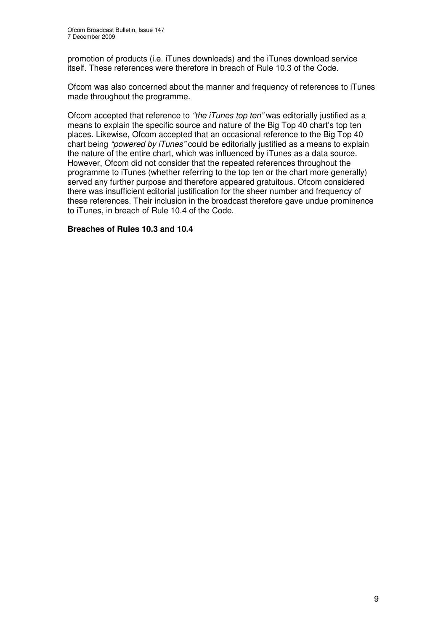promotion of products (i.e. iTunes downloads) and the iTunes download service itself. These references were therefore in breach of Rule 10.3 of the Code.

Ofcom was also concerned about the manner and frequency of references to iTunes made throughout the programme.

Ofcom accepted that reference to *"the iTunes top ten"* was editorially justified as a means to explain the specific source and nature of the Big Top 40 chart's top ten places. Likewise, Ofcom accepted that an occasional reference to the Big Top 40 chart being *"powered by iTunes"* could be editorially justified as a means to explain the nature of the entire chart, which was influenced by iTunes as a data source. However, Ofcom did not consider that the repeated references throughout the programme to iTunes (whether referring to the top ten or the chart more generally) served any further purpose and therefore appeared gratuitous. Ofcom considered there was insufficient editorial justification for the sheer number and frequency of these references. Their inclusion in the broadcast therefore gave undue prominence to iTunes, in breach of Rule 10.4 of the Code.

## **Breaches of Rules 10.3 and 10.4**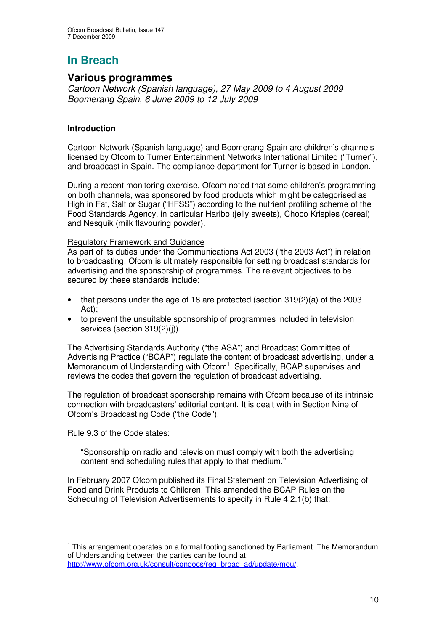## **Various programmes**

*Cartoon Network (Spanish language), 27 May 2009 to 4 August 2009 Boomerang Spain, 6 June 2009 to 12 July 2009*

## **Introduction**

Cartoon Network (Spanish language) and Boomerang Spain are children's channels licensed by Ofcom to Turner Entertainment Networks International Limited ("Turner"), and broadcast in Spain. The compliance department for Turner is based in London.

During a recent monitoring exercise, Ofcom noted that some children's programming on both channels, was sponsored by food products which might be categorised as High in Fat, Salt or Sugar ("HFSS") according to the nutrient profiling scheme of the Food Standards Agency, in particular Haribo (jelly sweets), Choco Krispies (cereal) and Nesquik (milk flavouring powder).

## Regulatory Framework and Guidance

As part of its duties under the Communications Act 2003 ("the 2003 Act") in relation to broadcasting, Ofcom is ultimately responsible for setting broadcast standards for advertising and the sponsorship of programmes. The relevant objectives to be secured by these standards include:

- that persons under the age of 18 are protected (section 319(2)(a) of the 2003 Act);
- to prevent the unsuitable sponsorship of programmes included in television services (section 319(2)(i)).

The Advertising Standards Authority ("the ASA") and Broadcast Committee of Advertising Practice ("BCAP") regulate the content of broadcast advertising, under a Memorandum of Understanding with Ofcom<sup>1</sup>. Specifically, BCAP supervises and reviews the codes that govern the regulation of broadcast advertising.

The regulation of broadcast sponsorship remains with Ofcom because of its intrinsic connection with broadcasters' editorial content. It is dealt with in Section Nine of Ofcom's Broadcasting Code ("the Code").

Rule 9.3 of the Code states:

"Sponsorship on radio and television must comply with both the advertising content and scheduling rules that apply to that medium."

In February 2007 Ofcom published its Final Statement on Television Advertising of Food and Drink Products to Children. This amended the BCAP Rules on the Scheduling of Television Advertisements to specify in Rule 4.2.1(b) that:

<sup>&</sup>lt;sup>1</sup> This arrangement operates on a formal footing sanctioned by Parliament. The Memorandum of Understanding between the parties can be found at:

http://www.ofcom.org.uk/consult/condocs/reg\_broad\_ad/update/mou/.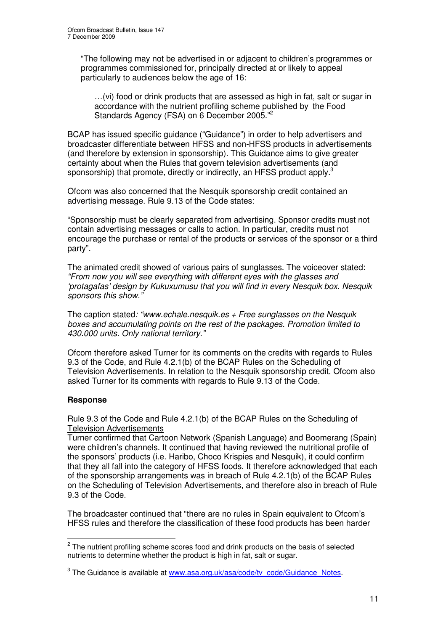"The following may not be advertised in or adjacent to children's programmes or programmes commissioned for, principally directed at or likely to appeal particularly to audiences below the age of 16:

...(vi) food or drink products that are assessed as high in fat, salt or sugar in accordance with the nutrient profiling scheme published by the Food Standards Agency (FSA) on 6 December 2005."<sup>2</sup>

BCAP has issued specific guidance ("Guidance") in order to help advertisers and broadcaster differentiate between HFSS and non-HFSS products in advertisements (and therefore by extension in sponsorship). This Guidance aims to give greater certainty about when the Rules that govern television advertisements (and sponsorship) that promote, directly or indirectly, an HFSS product apply.<sup>3</sup>

Ofcom was also concerned that the Nesquik sponsorship credit contained an advertising message. Rule 9.13 of the Code states:

"Sponsorship must be clearly separated from advertising. Sponsor credits must not contain advertising messages or calls to action. In particular, credits must not encourage the purchase or rental of the products or services of the sponsor or a third party".

The animated credit showed of various pairs of sunglasses. The voiceover stated: *"From now you will see everything with different eyes with the glasses and 'protagafas' design by Kukuxumusu that you will find in every Nesquik box. Nesquik sponsors this show."*

The caption stated*: "www.echale.nesquik.es + Free sunglasses on the Nesquik boxes and accumulating points on the rest of the packages. Promotion limited to 430.000 units. Only national territory."*

Ofcom therefore asked Turner for its comments on the credits with regards to Rules 9.3 of the Code, and Rule 4.2.1(b) of the BCAP Rules on the Scheduling of Television Advertisements. In relation to the Nesquik sponsorship credit, Ofcom also asked Turner for its comments with regards to Rule 9.13 of the Code.

## **Response**

Rule 9.3 of the Code and Rule 4.2.1(b) of the BCAP Rules on the Scheduling of Television Advertisements

Turner confirmed that Cartoon Network (Spanish Language) and Boomerang (Spain) were children's channels. It continued that having reviewed the nutritional profile of the sponsors' products (i.e. Haribo, Choco Krispies and Nesquik), it could confirm that they all fall into the category of HFSS foods. It therefore acknowledged that each of the sponsorship arrangements was in breach of Rule 4.2.1(b) of the BCAP Rules on the Scheduling of Television Advertisements, and therefore also in breach of Rule 9.3 of the Code.

The broadcaster continued that "there are no rules in Spain equivalent to Ofcom's HFSS rules and therefore the classification of these food products has been harder

<sup>&</sup>lt;sup>2</sup> The nutrient profiling scheme scores food and drink products on the basis of selected nutrients to determine whether the product is high in fat, salt or sugar.

<sup>&</sup>lt;sup>3</sup> The Guidance is available at www.asa.org.uk/asa/code/tv\_code/Guidance\_Notes.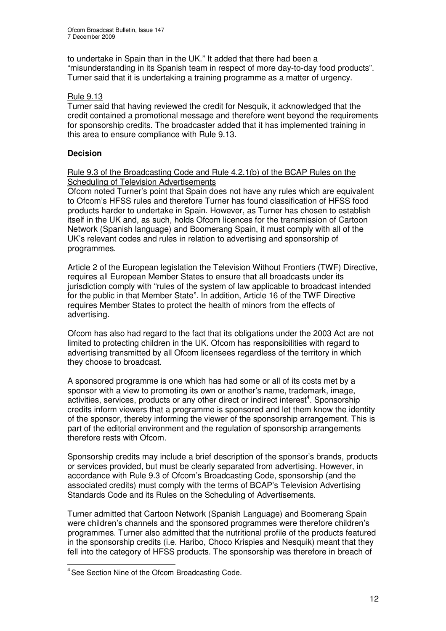to undertake in Spain than in the UK." It added that there had been a "misunderstanding in its Spanish team in respect of more day-to-day food products". Turner said that it is undertaking a training programme as a matter of urgency.

## Rule 9.13

Turner said that having reviewed the credit for Nesquik, it acknowledged that the credit contained a promotional message and therefore went beyond the requirements for sponsorship credits. The broadcaster added that it has implemented training in this area to ensure compliance with Rule 9.13.

## **Decision**

## Rule 9.3 of the Broadcasting Code and Rule 4.2.1(b) of the BCAP Rules on the Scheduling of Television Advertisements

Ofcom noted Turner's point that Spain does not have any rules which are equivalent to Ofcom's HFSS rules and therefore Turner has found classification of HFSS food products harder to undertake in Spain. However, as Turner has chosen to establish itself in the UK and, as such, holds Ofcom licences for the transmission of Cartoon Network (Spanish language) and Boomerang Spain, it must comply with all of the UK's relevant codes and rules in relation to advertising and sponsorship of programmes.

Article 2 of the European legislation the Television Without Frontiers (TWF) Directive, requires all European Member States to ensure that all broadcasts under its jurisdiction comply with "rules of the system of law applicable to broadcast intended for the public in that Member State". In addition, Article 16 of the TWF Directive requires Member States to protect the health of minors from the effects of advertising.

Ofcom has also had regard to the fact that its obligations under the 2003 Act are not limited to protecting children in the UK. Ofcom has responsibilities with regard to advertising transmitted by all Ofcom licensees regardless of the territory in which they choose to broadcast.

A sponsored programme is one which has had some or all of its costs met by a sponsor with a view to promoting its own or another's name, trademark, image, activities, services, products or any other direct or indirect interest<sup>4</sup>. Sponsorship credits inform viewers that a programme is sponsored and let them know the identity of the sponsor, thereby informing the viewer of the sponsorship arrangement. This is part of the editorial environment and the regulation of sponsorship arrangements therefore rests with Ofcom.

Sponsorship credits may include a brief description of the sponsor's brands, products or services provided, but must be clearly separated from advertising. However, in accordance with Rule 9.3 of Ofcom's Broadcasting Code, sponsorship (and the associated credits) must comply with the terms of BCAP's Television Advertising Standards Code and its Rules on the Scheduling of Advertisements.

Turner admitted that Cartoon Network (Spanish Language) and Boomerang Spain were children's channels and the sponsored programmes were therefore children's programmes. Turner also admitted that the nutritional profile of the products featured in the sponsorship credits (i.e. Haribo, Choco Krispies and Nesquik) meant that they fell into the category of HFSS products. The sponsorship was therefore in breach of

<sup>&</sup>lt;sup>4</sup> See Section Nine of the Ofcom Broadcasting Code.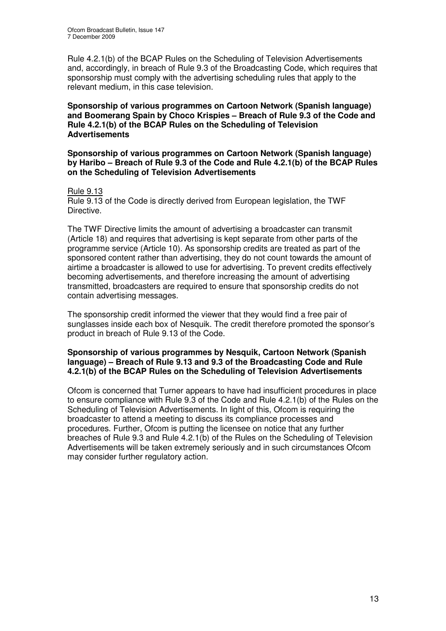Rule 4.2.1(b) of the BCAP Rules on the Scheduling of Television Advertisements and, accordingly, in breach of Rule 9.3 of the Broadcasting Code, which requires that sponsorship must comply with the advertising scheduling rules that apply to the relevant medium, in this case television.

**Sponsorship of various programmes on Cartoon Network (Spanish language) and Boomerang Spain by Choco Krispies – Breach of Rule 9.3 of the Code and Rule 4.2.1(b) of the BCAP Rules on the Scheduling of Television Advertisements**

**Sponsorship of various programmes on Cartoon Network (Spanish language) by Haribo – Breach of Rule 9.3 of the Code and Rule 4.2.1(b) of the BCAP Rules on the Scheduling of Television Advertisements**

#### Rule 9.13

Rule 9.13 of the Code is directly derived from European legislation, the TWF Directive.

The TWF Directive limits the amount of advertising a broadcaster can transmit (Article 18) and requires that advertising is kept separate from other parts of the programme service (Article 10). As sponsorship credits are treated as part of the sponsored content rather than advertising, they do not count towards the amount of airtime a broadcaster is allowed to use for advertising. To prevent credits effectively becoming advertisements, and therefore increasing the amount of advertising transmitted, broadcasters are required to ensure that sponsorship credits do not contain advertising messages.

The sponsorship credit informed the viewer that they would find a free pair of sunglasses inside each box of Nesquik. The credit therefore promoted the sponsor's product in breach of Rule 9.13 of the Code.

#### **Sponsorship of various programmes by Nesquik, Cartoon Network (Spanish language) – Breach of Rule 9.13 and 9.3 of the Broadcasting Code and Rule 4.2.1(b) of the BCAP Rules on the Scheduling of Television Advertisements**

Ofcom is concerned that Turner appears to have had insufficient procedures in place to ensure compliance with Rule 9.3 of the Code and Rule 4.2.1(b) of the Rules on the Scheduling of Television Advertisements. In light of this, Ofcom is requiring the broadcaster to attend a meeting to discuss its compliance processes and procedures. Further, Ofcom is putting the licensee on notice that any further breaches of Rule 9.3 and Rule 4.2.1(b) of the Rules on the Scheduling of Television Advertisements will be taken extremely seriously and in such circumstances Ofcom may consider further regulatory action.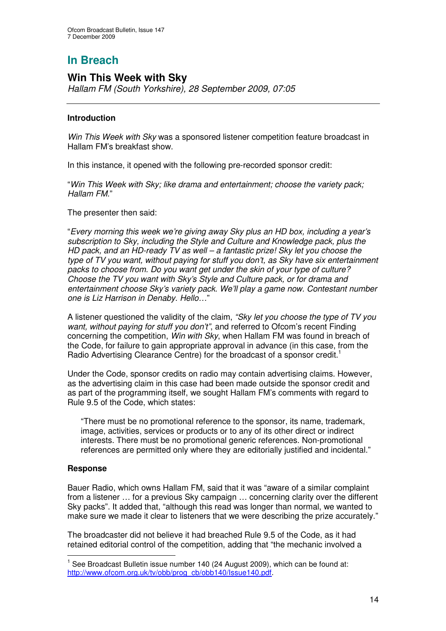## **Win This Week with Sky**

*Hallam FM (South Yorkshire), 28 September 2009, 07:05*

## **Introduction**

*Win This Week with Sky* was a sponsored listener competition feature broadcast in Hallam FM's breakfast show.

In this instance, it opened with the following pre-recorded sponsor credit:

"*Win This Week with Sky; like drama and entertainment; choose the variety pack; Hallam FM.*"

The presenter then said:

"*Every morning this week we're giving away Sky plus an HD box, including a year's subscription to Sky, including the Style and Culture and Knowledge pack, plus the HD pack, and an HD-ready TV as well – a fantastic prize! Sky let you choose the type of TV you want, without paying for stuff you don't, as Sky have six entertainment packs to choose from. Do you want get under the skin of your type of culture? Choose the TV you want with Sky's Style and Culture pack, or for drama and entertainment choose Sky's variety pack. We'll play a game now. Contestant number one is Liz Harrison in Denaby. Hello…*"

A listener questioned the validity of the claim, *"Sky let you choose the type of TV you want, without paying for stuff you don't"*, and referred to Ofcom's recent Finding concerning the competition, *Win with Sky*, when Hallam FM was found in breach of the Code, for failure to gain appropriate approval in advance (in this case, from the Radio Advertising Clearance Centre) for the broadcast of a sponsor credit.<sup>1</sup>

Under the Code, sponsor credits on radio may contain advertising claims. However, as the advertising claim in this case had been made outside the sponsor credit and as part of the programming itself, we sought Hallam FM's comments with regard to Rule 9.5 of the Code, which states:

"There must be no promotional reference to the sponsor, its name, trademark, image, activities, services or products or to any of its other direct or indirect interests. There must be no promotional generic references. Non-promotional references are permitted only where they are editorially justified and incidental."

## **Response**

Bauer Radio, which owns Hallam FM, said that it was "aware of a similar complaint from a listener … for a previous Sky campaign … concerning clarity over the different Sky packs". It added that, "although this read was longer than normal, we wanted to make sure we made it clear to listeners that we were describing the prize accurately."

The broadcaster did not believe it had breached Rule 9.5 of the Code, as it had retained editorial control of the competition, adding that "the mechanic involved a

 $^1$  See Broadcast Bulletin issue number 140 (24 August 2009), which can be found at: http://www.ofcom.org.uk/tv/obb/prog\_cb/obb140/Issue140.pdf.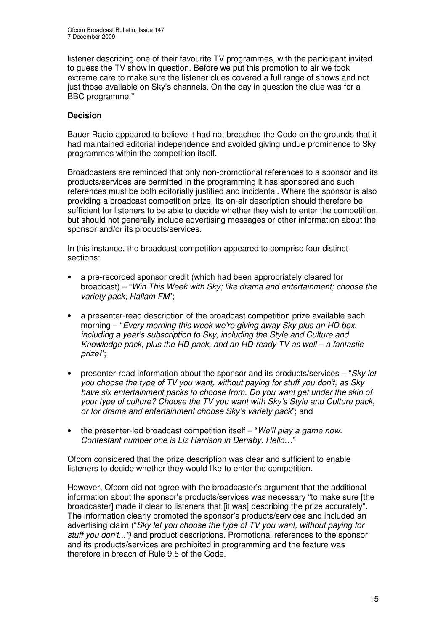listener describing one of their favourite TV programmes, with the participant invited to guess the TV show in question. Before we put this promotion to air we took extreme care to make sure the listener clues covered a full range of shows and not just those available on Sky's channels. On the day in question the clue was for a BBC programme."

## **Decision**

Bauer Radio appeared to believe it had not breached the Code on the grounds that it had maintained editorial independence and avoided giving undue prominence to Sky programmes within the competition itself.

Broadcasters are reminded that only non-promotional references to a sponsor and its products/services are permitted in the programming it has sponsored and such references must be both editorially justified and incidental. Where the sponsor is also providing a broadcast competition prize, its on-air description should therefore be sufficient for listeners to be able to decide whether they wish to enter the competition, but should not generally include advertising messages or other information about the sponsor and/or its products/services.

In this instance, the broadcast competition appeared to comprise four distinct sections:

- a pre-recorded sponsor credit (which had been appropriately cleared for broadcast) – "*Win This Week with Sky; like drama and entertainment; choose the variety pack; Hallam FM*";
- a presenter-read description of the broadcast competition prize available each morning – "*Every morning this week we're giving away Sky plus an HD box, including a year's subscription to Sky, including the Style and Culture and Knowledge pack, plus the HD pack, and an HD-ready TV as well – a fantastic prize!*";
- presenter-read information about the sponsor and its products/services "*Sky let you choose the type of TV you want, without paying for stuff you don't, as Sky have six entertainment packs to choose from. Do you want get under the skin of your type of culture? Choose the TV you want with Sky's Style and Culture pack, or for drama and entertainment choose Sky's variety pack*"; and
- the presenter-led broadcast competition itself "*We'll play a game now. Contestant number one is Liz Harrison in Denaby. Hello…*"

Ofcom considered that the prize description was clear and sufficient to enable listeners to decide whether they would like to enter the competition.

However, Ofcom did not agree with the broadcaster's argument that the additional information about the sponsor's products/services was necessary "to make sure [the broadcaster] made it clear to listeners that [it was] describing the prize accurately". The information clearly promoted the sponsor's products/services and included an advertising claim ("*Sky let you choose the type of TV you want, without paying for stuff you don't...")* and product descriptions. Promotional references to the sponsor and its products/services are prohibited in programming and the feature was therefore in breach of Rule 9.5 of the Code.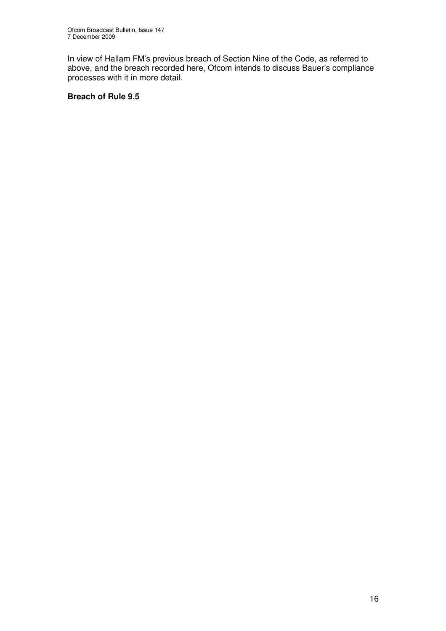In view of Hallam FM's previous breach of Section Nine of the Code, as referred to above, and the breach recorded here, Ofcom intends to discuss Bauer's compliance processes with it in more detail.

## **Breach of Rule 9.5**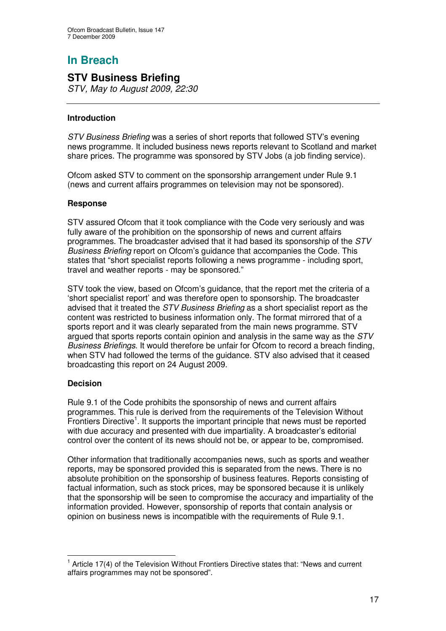## **STV Business Briefing**

*STV, May to August 2009, 22:30*

## **Introduction**

*STV Business Briefing* was a series of short reports that followed STV's evening news programme. It included business news reports relevant to Scotland and market share prices. The programme was sponsored by STV Jobs (a job finding service).

Ofcom asked STV to comment on the sponsorship arrangement under Rule 9.1 (news and current affairs programmes on television may not be sponsored).

## **Response**

STV assured Ofcom that it took compliance with the Code very seriously and was fully aware of the prohibition on the sponsorship of news and current affairs programmes. The broadcaster advised that it had based its sponsorship of the *STV Business Briefing* report on Ofcom's guidance that accompanies the Code. This states that "short specialist reports following a news programme - including sport, travel and weather reports - may be sponsored."

STV took the view, based on Ofcom's guidance, that the report met the criteria of a 'short specialist report' and was therefore open to sponsorship. The broadcaster advised that it treated the *STV Business Briefing* as a short specialist report as the content was restricted to business information only. The format mirrored that of a sports report and it was clearly separated from the main news programme. STV argued that sports reports contain opinion and analysis in the same way as the *STV Business Briefings*. It would therefore be unfair for Ofcom to record a breach finding, when STV had followed the terms of the guidance. STV also advised that it ceased broadcasting this report on 24 August 2009.

## **Decision**

Rule 9.1 of the Code prohibits the sponsorship of news and current affairs programmes. This rule is derived from the requirements of the Television Without Frontiers Directive<sup>1</sup>. It supports the important principle that news must be reported with due accuracy and presented with due impartiality. A broadcaster's editorial control over the content of its news should not be, or appear to be, compromised.

Other information that traditionally accompanies news, such as sports and weather reports, may be sponsored provided this is separated from the news. There is no absolute prohibition on the sponsorship of business features. Reports consisting of factual information, such as stock prices, may be sponsored because it is unlikely that the sponsorship will be seen to compromise the accuracy and impartiality of the information provided. However, sponsorship of reports that contain analysis or opinion on business news is incompatible with the requirements of Rule 9.1.

 $1$  Article 17(4) of the Television Without Frontiers Directive states that: "News and current affairs programmes may not be sponsored".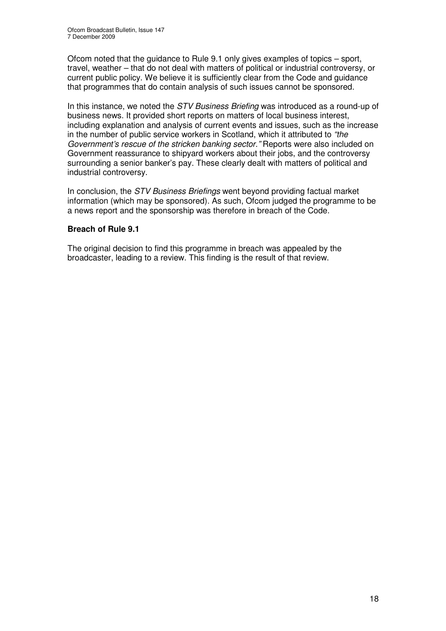Ofcom noted that the guidance to Rule 9.1 only gives examples of topics – sport, travel, weather – that do not deal with matters of political or industrial controversy, or current public policy. We believe it is sufficiently clear from the Code and guidance that programmes that do contain analysis of such issues cannot be sponsored.

In this instance, we noted the *STV Business Briefing* was introduced as a round-up of business news. It provided short reports on matters of local business interest, including explanation and analysis of current events and issues, such as the increase in the number of public service workers in Scotland, which it attributed to *"the Government's rescue of the stricken banking sector."* Reports were also included on Government reassurance to shipyard workers about their jobs, and the controversy surrounding a senior banker's pay. These clearly dealt with matters of political and industrial controversy.

In conclusion, the *STV Business Briefings* went beyond providing factual market information (which may be sponsored). As such, Ofcom judged the programme to be a news report and the sponsorship was therefore in breach of the Code.

## **Breach of Rule 9.1**

The original decision to find this programme in breach was appealed by the broadcaster, leading to a review. This finding is the result of that review.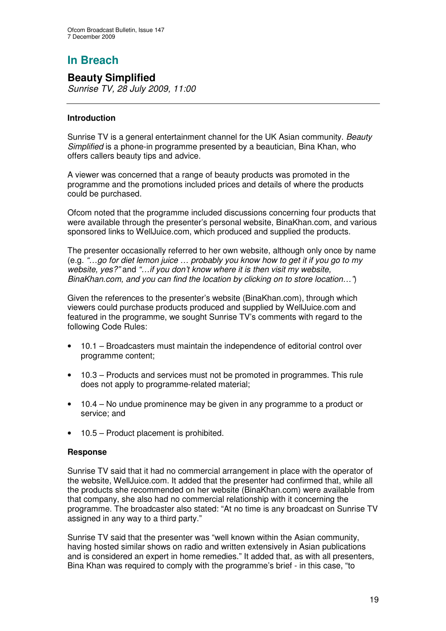## **Beauty Simplified**

*Sunrise TV, 28 July 2009, 11:00*

## **Introduction**

Sunrise TV is a general entertainment channel for the UK Asian community. *Beauty Simplified* is a phone-in programme presented by a beautician, Bina Khan, who offers callers beauty tips and advice.

A viewer was concerned that a range of beauty products was promoted in the programme and the promotions included prices and details of where the products could be purchased.

Ofcom noted that the programme included discussions concerning four products that were available through the presenter's personal website, BinaKhan.com, and various sponsored links to WellJuice.com, which produced and supplied the products.

The presenter occasionally referred to her own website, although only once by name (e.g. *"…go for diet lemon juice … probably you know how to get it if you go to my website, yes?"* and *"…if you don't know where it is then visit my website, BinaKhan.com, and you can find the location by clicking on to store location…"*)

Given the references to the presenter's website (BinaKhan.com), through which viewers could purchase products produced and supplied by WellJuice.com and featured in the programme, we sought Sunrise TV's comments with regard to the following Code Rules:

- 10.1 Broadcasters must maintain the independence of editorial control over programme content;
- 10.3 Products and services must not be promoted in programmes. This rule does not apply to programme-related material;
- 10.4 No undue prominence may be given in any programme to a product or service; and
- 10.5 Product placement is prohibited.

## **Response**

Sunrise TV said that it had no commercial arrangement in place with the operator of the website, WellJuice.com. It added that the presenter had confirmed that, while all the products she recommended on her website (BinaKhan.com) were available from that company, she also had no commercial relationship with it concerning the programme. The broadcaster also stated: "At no time is any broadcast on Sunrise TV assigned in any way to a third party."

Sunrise TV said that the presenter was "well known within the Asian community, having hosted similar shows on radio and written extensively in Asian publications and is considered an expert in home remedies." It added that, as with all presenters, Bina Khan was required to comply with the programme's brief - in this case, "to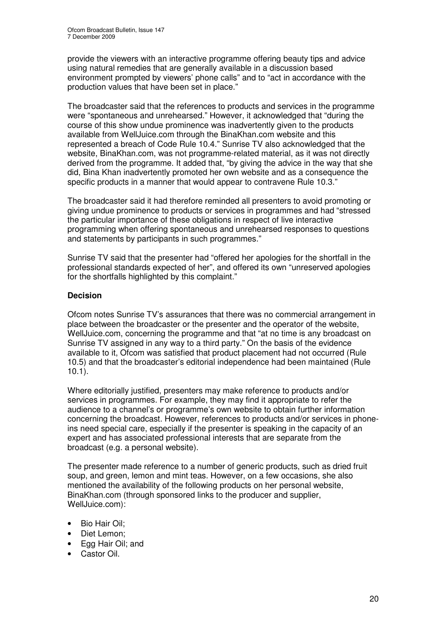provide the viewers with an interactive programme offering beauty tips and advice using natural remedies that are generally available in a discussion based environment prompted by viewers' phone calls" and to "act in accordance with the production values that have been set in place."

The broadcaster said that the references to products and services in the programme were "spontaneous and unrehearsed." However, it acknowledged that "during the course of this show undue prominence was inadvertently given to the products available from WellJuice.com through the BinaKhan.com website and this represented a breach of Code Rule 10.4." Sunrise TV also acknowledged that the website, BinaKhan.com, was not programme-related material, as it was not directly derived from the programme. It added that, "by giving the advice in the way that she did, Bina Khan inadvertently promoted her own website and as a consequence the specific products in a manner that would appear to contravene Rule 10.3."

The broadcaster said it had therefore reminded all presenters to avoid promoting or giving undue prominence to products or services in programmes and had "stressed the particular importance of these obligations in respect of live interactive programming when offering spontaneous and unrehearsed responses to questions and statements by participants in such programmes."

Sunrise TV said that the presenter had "offered her apologies for the shortfall in the professional standards expected of her", and offered its own "unreserved apologies for the shortfalls highlighted by this complaint."

## **Decision**

Ofcom notes Sunrise TV's assurances that there was no commercial arrangement in place between the broadcaster or the presenter and the operator of the website, WellJuice.com, concerning the programme and that "at no time is any broadcast on Sunrise TV assigned in any way to a third party." On the basis of the evidence available to it, Ofcom was satisfied that product placement had not occurred (Rule 10.5) and that the broadcaster's editorial independence had been maintained (Rule 10.1).

Where editorially justified, presenters may make reference to products and/or services in programmes. For example, they may find it appropriate to refer the audience to a channel's or programme's own website to obtain further information concerning the broadcast. However, references to products and/or services in phoneins need special care, especially if the presenter is speaking in the capacity of an expert and has associated professional interests that are separate from the broadcast (e.g. a personal website).

The presenter made reference to a number of generic products, such as dried fruit soup, and green, lemon and mint teas. However, on a few occasions, she also mentioned the availability of the following products on her personal website, BinaKhan.com (through sponsored links to the producer and supplier, WellJuice.com):

- Bio Hair Oil;
- Diet Lemon;
- Egg Hair Oil; and
- Castor Oil.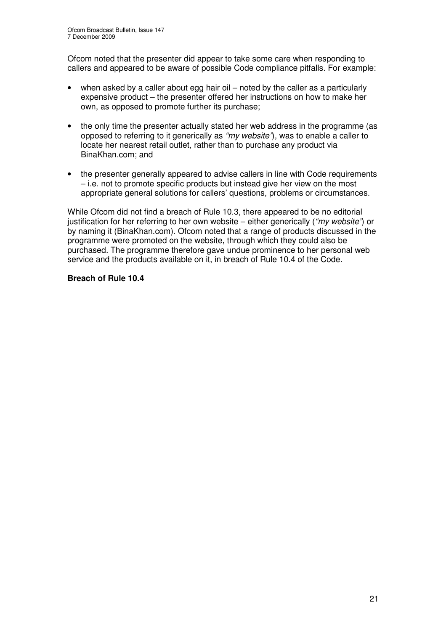Ofcom noted that the presenter did appear to take some care when responding to callers and appeared to be aware of possible Code compliance pitfalls. For example:

- when asked by a caller about egg hair oil noted by the caller as a particularly expensive product – the presenter offered her instructions on how to make her own, as opposed to promote further its purchase;
- the only time the presenter actually stated her web address in the programme (as opposed to referring to it generically as *"my website"*), was to enable a caller to locate her nearest retail outlet, rather than to purchase any product via BinaKhan.com; and
- the presenter generally appeared to advise callers in line with Code requirements – i.e. not to promote specific products but instead give her view on the most appropriate general solutions for callers' questions, problems or circumstances.

While Ofcom did not find a breach of Rule 10.3, there appeared to be no editorial justification for her referring to her own website – either generically (*"my website"*) or by naming it (BinaKhan.com). Ofcom noted that a range of products discussed in the programme were promoted on the website, through which they could also be purchased. The programme therefore gave undue prominence to her personal web service and the products available on it, in breach of Rule 10.4 of the Code.

## **Breach of Rule 10.4**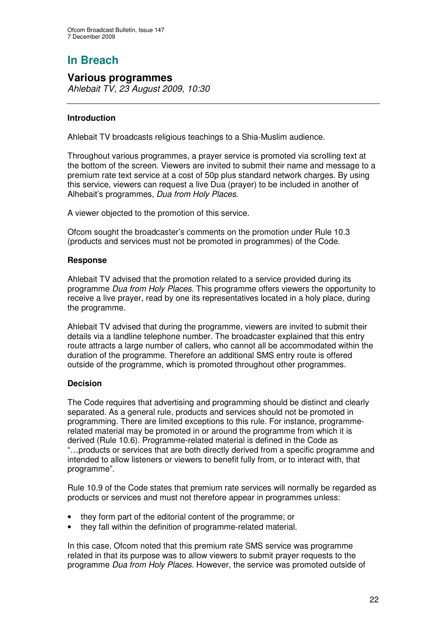## **Various programmes**

*Ahlebait TV, 23 August 2009, 10:30*

## **Introduction**

Ahlebait TV broadcasts religious teachings to a Shia-Muslim audience.

Throughout various programmes, a prayer service is promoted via scrolling text at the bottom of the screen. Viewers are invited to submit their name and message to a premium rate text service at a cost of 50p plus standard network charges. By using this service, viewers can request a live Dua (prayer) to be included in another of Alhebait's programmes, *Dua from Holy Places*.

A viewer objected to the promotion of this service.

Ofcom sought the broadcaster's comments on the promotion under Rule 10.3 (products and services must not be promoted in programmes) of the Code.

## **Response**

Ahlebait TV advised that the promotion related to a service provided during its programme *Dua from Holy Places*. This programme offers viewers the opportunity to receive a live prayer, read by one its representatives located in a holy place, during the programme.

Ahlebait TV advised that during the programme, viewers are invited to submit their details via a landline telephone number. The broadcaster explained that this entry route attracts a large number of callers, who cannot all be accommodated within the duration of the programme. Therefore an additional SMS entry route is offered outside of the programme, which is promoted throughout other programmes.

## **Decision**

The Code requires that advertising and programming should be distinct and clearly separated. As a general rule, products and services should not be promoted in programming. There are limited exceptions to this rule. For instance, programmerelated material may be promoted in or around the programme from which it is derived (Rule 10.6). Programme-related material is defined in the Code as "…products or services that are both directly derived from a specific programme and intended to allow listeners or viewers to benefit fully from, or to interact with, that programme".

Rule 10.9 of the Code states that premium rate services will normally be regarded as products or services and must not therefore appear in programmes unless:

- they form part of the editorial content of the programme; or
- they fall within the definition of programme-related material.

In this case, Ofcom noted that this premium rate SMS service was programme related in that its purpose was to allow viewers to submit prayer requests to the programme *Dua from Holy Places.* However, the service was promoted outside of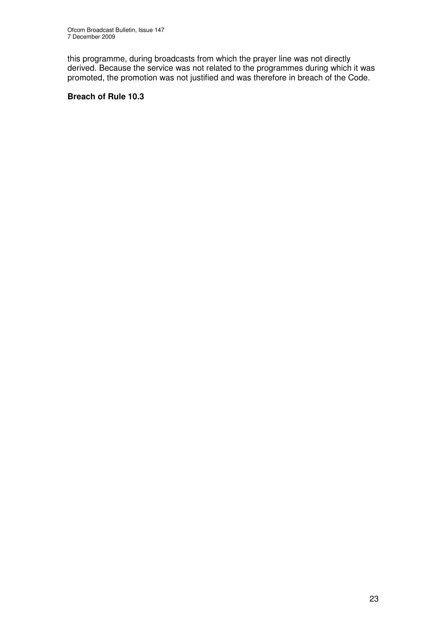this programme, during broadcasts from which the prayer line was not directly derived. Because the service was not related to the programmes during which it was promoted, the promotion was not justified and was therefore in breach of the Code.

## **Breach of Rule 10.3**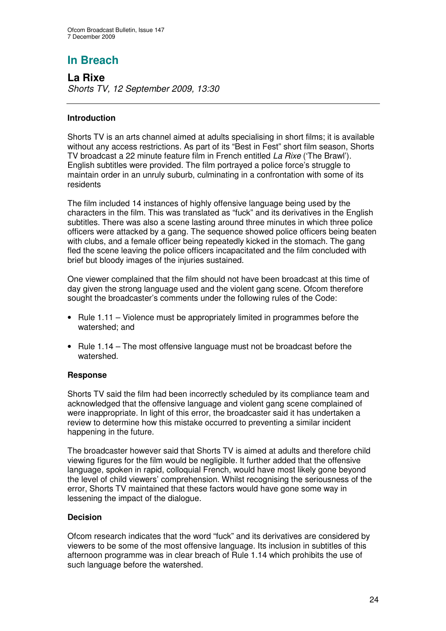**La Rixe** *Shorts TV, 12 September 2009, 13:30*

## **Introduction**

Shorts TV is an arts channel aimed at adults specialising in short films; it is available without any access restrictions. As part of its "Best in Fest" short film season, Shorts TV broadcast a 22 minute feature film in French entitled *La Rixe* ('The Brawl'). English subtitles were provided. The film portrayed a police force's struggle to maintain order in an unruly suburb, culminating in a confrontation with some of its residents

The film included 14 instances of highly offensive language being used by the characters in the film. This was translated as "fuck" and its derivatives in the English subtitles. There was also a scene lasting around three minutes in which three police officers were attacked by a gang. The sequence showed police officers being beaten with clubs, and a female officer being repeatedly kicked in the stomach. The gang fled the scene leaving the police officers incapacitated and the film concluded with brief but bloody images of the injuries sustained.

One viewer complained that the film should not have been broadcast at this time of day given the strong language used and the violent gang scene. Ofcom therefore sought the broadcaster's comments under the following rules of the Code:

- Rule 1.11 Violence must be appropriately limited in programmes before the watershed; and
- Rule 1.14 The most offensive language must not be broadcast before the watershed.

## **Response**

Shorts TV said the film had been incorrectly scheduled by its compliance team and acknowledged that the offensive language and violent gang scene complained of were inappropriate. In light of this error, the broadcaster said it has undertaken a review to determine how this mistake occurred to preventing a similar incident happening in the future.

The broadcaster however said that Shorts TV is aimed at adults and therefore child viewing figures for the film would be negligible. It further added that the offensive language, spoken in rapid, colloquial French, would have most likely gone beyond the level of child viewers' comprehension. Whilst recognising the seriousness of the error, Shorts TV maintained that these factors would have gone some way in lessening the impact of the dialogue.

## **Decision**

Ofcom research indicates that the word "fuck" and its derivatives are considered by viewers to be some of the most offensive language. Its inclusion in subtitles of this afternoon programme was in clear breach of Rule 1.14 which prohibits the use of such language before the watershed.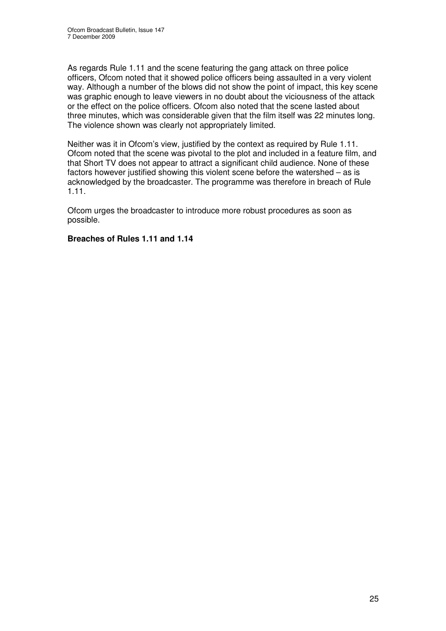As regards Rule 1.11 and the scene featuring the gang attack on three police officers, Ofcom noted that it showed police officers being assaulted in a very violent way. Although a number of the blows did not show the point of impact, this key scene was graphic enough to leave viewers in no doubt about the viciousness of the attack or the effect on the police officers. Ofcom also noted that the scene lasted about three minutes, which was considerable given that the film itself was 22 minutes long. The violence shown was clearly not appropriately limited.

Neither was it in Ofcom's view, justified by the context as required by Rule 1.11. Ofcom noted that the scene was pivotal to the plot and included in a feature film, and that Short TV does not appear to attract a significant child audience. None of these factors however justified showing this violent scene before the watershed – as is acknowledged by the broadcaster. The programme was therefore in breach of Rule 1.11.

Ofcom urges the broadcaster to introduce more robust procedures as soon as possible.

## **Breaches of Rules 1.11 and 1.14**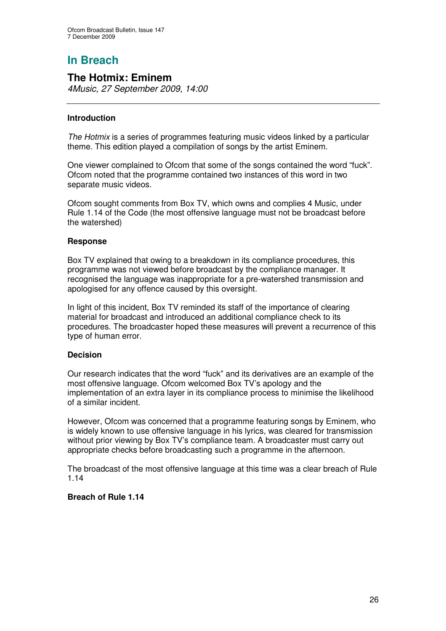## **The Hotmix: Eminem**

*4Music, 27 September 2009, 14:00*

## **Introduction**

*The Hotmix* is a series of programmes featuring music videos linked by a particular theme. This edition played a compilation of songs by the artist Eminem.

One viewer complained to Ofcom that some of the songs contained the word "fuck". Ofcom noted that the programme contained two instances of this word in two separate music videos.

Ofcom sought comments from Box TV, which owns and complies 4 Music, under Rule 1.14 of the Code (the most offensive language must not be broadcast before the watershed)

## **Response**

Box TV explained that owing to a breakdown in its compliance procedures, this programme was not viewed before broadcast by the compliance manager. It recognised the language was inappropriate for a pre-watershed transmission and apologised for any offence caused by this oversight.

In light of this incident, Box TV reminded its staff of the importance of clearing material for broadcast and introduced an additional compliance check to its procedures. The broadcaster hoped these measures will prevent a recurrence of this type of human error.

## **Decision**

Our research indicates that the word "fuck" and its derivatives are an example of the most offensive language. Ofcom welcomed Box TV's apology and the implementation of an extra layer in its compliance process to minimise the likelihood of a similar incident.

However, Ofcom was concerned that a programme featuring songs by Eminem, who is widely known to use offensive language in his lyrics, was cleared for transmission without prior viewing by Box TV's compliance team. A broadcaster must carry out appropriate checks before broadcasting such a programme in the afternoon.

The broadcast of the most offensive language at this time was a clear breach of Rule 1.14

## **Breach of Rule 1.14**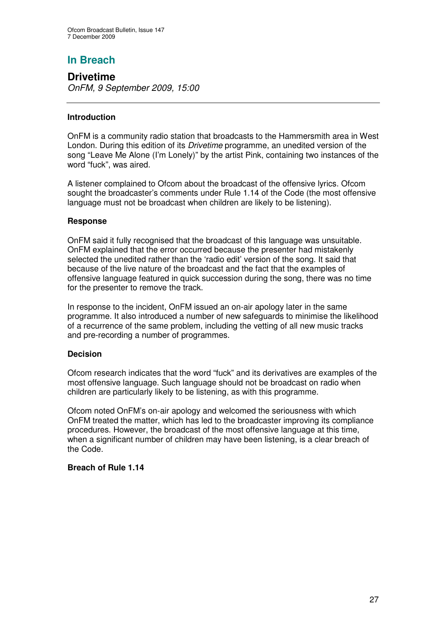## **Drivetime**

*OnFM, 9 September 2009, 15:00*

## **Introduction**

OnFM is a community radio station that broadcasts to the Hammersmith area in West London. During this edition of its *Drivetime* programme, an unedited version of the song "Leave Me Alone (I'm Lonely)" by the artist Pink, containing two instances of the word "fuck", was aired.

A listener complained to Ofcom about the broadcast of the offensive lyrics. Ofcom sought the broadcaster's comments under Rule 1.14 of the Code (the most offensive language must not be broadcast when children are likely to be listening).

## **Response**

OnFM said it fully recognised that the broadcast of this language was unsuitable. OnFM explained that the error occurred because the presenter had mistakenly selected the unedited rather than the 'radio edit' version of the song. It said that because of the live nature of the broadcast and the fact that the examples of offensive language featured in quick succession during the song, there was no time for the presenter to remove the track.

In response to the incident, OnFM issued an on-air apology later in the same programme. It also introduced a number of new safeguards to minimise the likelihood of a recurrence of the same problem, including the vetting of all new music tracks and pre-recording a number of programmes.

## **Decision**

Ofcom research indicates that the word "fuck" and its derivatives are examples of the most offensive language. Such language should not be broadcast on radio when children are particularly likely to be listening, as with this programme.

Ofcom noted OnFM's on-air apology and welcomed the seriousness with which OnFM treated the matter, which has led to the broadcaster improving its compliance procedures. However, the broadcast of the most offensive language at this time, when a significant number of children may have been listening, is a clear breach of the Code.

## **Breach of Rule 1.14**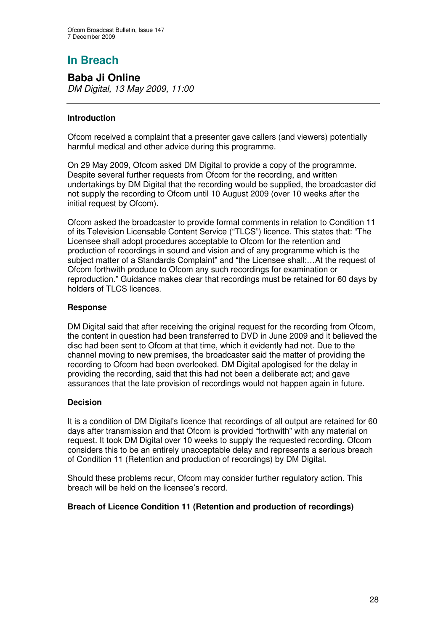**Baba Ji Online** *DM Digital, 13 May 2009, 11:00*

## **Introduction**

Ofcom received a complaint that a presenter gave callers (and viewers) potentially harmful medical and other advice during this programme.

On 29 May 2009, Ofcom asked DM Digital to provide a copy of the programme. Despite several further requests from Ofcom for the recording, and written undertakings by DM Digital that the recording would be supplied, the broadcaster did not supply the recording to Ofcom until 10 August 2009 (over 10 weeks after the initial request by Ofcom).

Ofcom asked the broadcaster to provide formal comments in relation to Condition 11 of its Television Licensable Content Service ("TLCS") licence. This states that: "The Licensee shall adopt procedures acceptable to Ofcom for the retention and production of recordings in sound and vision and of any programme which is the subject matter of a Standards Complaint" and "the Licensee shall:…At the request of Ofcom forthwith produce to Ofcom any such recordings for examination or reproduction." Guidance makes clear that recordings must be retained for 60 days by holders of TLCS licences.

## **Response**

DM Digital said that after receiving the original request for the recording from Ofcom, the content in question had been transferred to DVD in June 2009 and it believed the disc had been sent to Ofcom at that time, which it evidently had not. Due to the channel moving to new premises, the broadcaster said the matter of providing the recording to Ofcom had been overlooked. DM Digital apologised for the delay in providing the recording, said that this had not been a deliberate act; and gave assurances that the late provision of recordings would not happen again in future.

## **Decision**

It is a condition of DM Digital's licence that recordings of all output are retained for 60 days after transmission and that Ofcom is provided "forthwith" with any material on request. It took DM Digital over 10 weeks to supply the requested recording. Ofcom considers this to be an entirely unacceptable delay and represents a serious breach of Condition 11 (Retention and production of recordings) by DM Digital.

Should these problems recur, Ofcom may consider further regulatory action. This breach will be held on the licensee's record.

## **Breach of Licence Condition 11 (Retention and production of recordings)**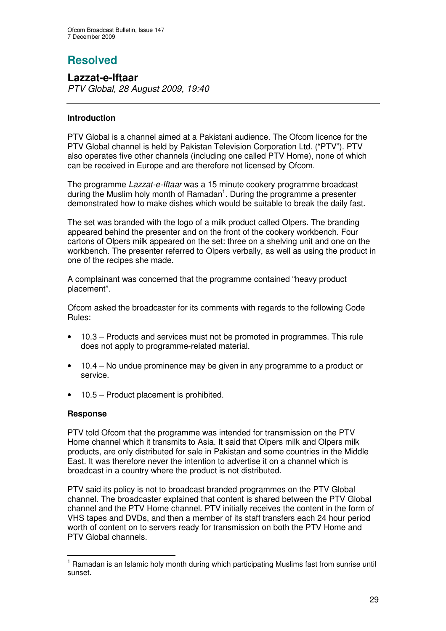# **Resolved**

**Lazzat-e-Iftaar** *PTV Global, 28 August 2009, 19:40*

## **Introduction**

PTV Global is a channel aimed at a Pakistani audience. The Ofcom licence for the PTV Global channel is held by Pakistan Television Corporation Ltd. ("PTV"). PTV also operates five other channels (including one called PTV Home), none of which can be received in Europe and are therefore not licensed by Ofcom.

The programme *Lazzat-e-Iftaar* was a 15 minute cookery programme broadcast during the Muslim holy month of Ramadan<sup>1</sup>. During the programme a presenter demonstrated how to make dishes which would be suitable to break the daily fast.

The set was branded with the logo of a milk product called Olpers. The branding appeared behind the presenter and on the front of the cookery workbench. Four cartons of Olpers milk appeared on the set: three on a shelving unit and one on the workbench. The presenter referred to Olpers verbally, as well as using the product in one of the recipes she made.

A complainant was concerned that the programme contained "heavy product placement".

Ofcom asked the broadcaster for its comments with regards to the following Code Rules:

- 10.3 Products and services must not be promoted in programmes. This rule does not apply to programme-related material.
- 10.4 No undue prominence may be given in any programme to a product or service.
- 10.5 Product placement is prohibited.

## **Response**

PTV told Ofcom that the programme was intended for transmission on the PTV Home channel which it transmits to Asia. It said that Olpers milk and Olpers milk products, are only distributed for sale in Pakistan and some countries in the Middle East. It was therefore never the intention to advertise it on a channel which is broadcast in a country where the product is not distributed.

PTV said its policy is not to broadcast branded programmes on the PTV Global channel. The broadcaster explained that content is shared between the PTV Global channel and the PTV Home channel. PTV initially receives the content in the form of VHS tapes and DVDs, and then a member of its staff transfers each 24 hour period worth of content on to servers ready for transmission on both the PTV Home and PTV Global channels.

 $<sup>1</sup>$  Ramadan is an Islamic holy month during which participating Muslims fast from sunrise until</sup> sunset.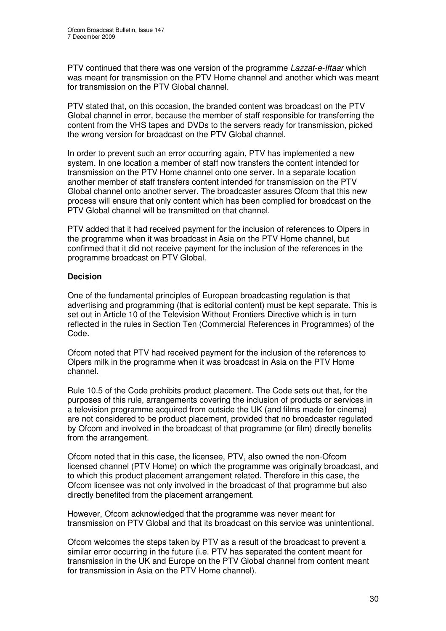PTV continued that there was one version of the programme *Lazzat-e-Iftaar* which was meant for transmission on the PTV Home channel and another which was meant for transmission on the PTV Global channel.

PTV stated that, on this occasion, the branded content was broadcast on the PTV Global channel in error, because the member of staff responsible for transferring the content from the VHS tapes and DVDs to the servers ready for transmission, picked the wrong version for broadcast on the PTV Global channel.

In order to prevent such an error occurring again, PTV has implemented a new system. In one location a member of staff now transfers the content intended for transmission on the PTV Home channel onto one server. In a separate location another member of staff transfers content intended for transmission on the PTV Global channel onto another server. The broadcaster assures Ofcom that this new process will ensure that only content which has been complied for broadcast on the PTV Global channel will be transmitted on that channel.

PTV added that it had received payment for the inclusion of references to Olpers in the programme when it was broadcast in Asia on the PTV Home channel, but confirmed that it did not receive payment for the inclusion of the references in the programme broadcast on PTV Global.

## **Decision**

One of the fundamental principles of European broadcasting regulation is that advertising and programming (that is editorial content) must be kept separate. This is set out in Article 10 of the Television Without Frontiers Directive which is in turn reflected in the rules in Section Ten (Commercial References in Programmes) of the Code.

Ofcom noted that PTV had received payment for the inclusion of the references to Olpers milk in the programme when it was broadcast in Asia on the PTV Home channel.

Rule 10.5 of the Code prohibits product placement. The Code sets out that, for the purposes of this rule, arrangements covering the inclusion of products or services in a television programme acquired from outside the UK (and films made for cinema) are not considered to be product placement, provided that no broadcaster regulated by Ofcom and involved in the broadcast of that programme (or film) directly benefits from the arrangement.

Ofcom noted that in this case, the licensee, PTV, also owned the non-Ofcom licensed channel (PTV Home) on which the programme was originally broadcast, and to which this product placement arrangement related. Therefore in this case, the Ofcom licensee was not only involved in the broadcast of that programme but also directly benefited from the placement arrangement.

However, Ofcom acknowledged that the programme was never meant for transmission on PTV Global and that its broadcast on this service was unintentional.

Ofcom welcomes the steps taken by PTV as a result of the broadcast to prevent a similar error occurring in the future (i.e. PTV has separated the content meant for transmission in the UK and Europe on the PTV Global channel from content meant for transmission in Asia on the PTV Home channel).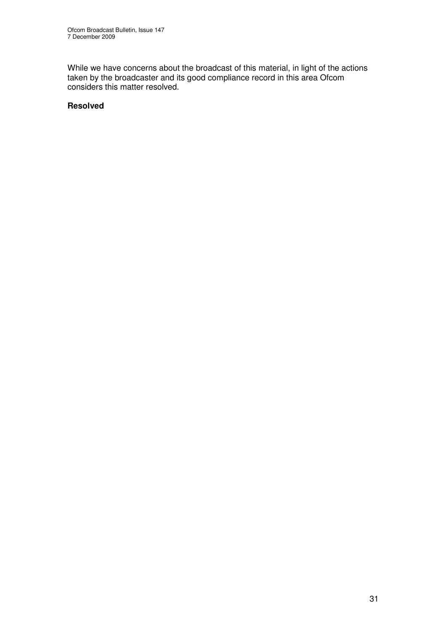While we have concerns about the broadcast of this material, in light of the actions taken by the broadcaster and its good compliance record in this area Ofcom considers this matter resolved.

## **Resolved**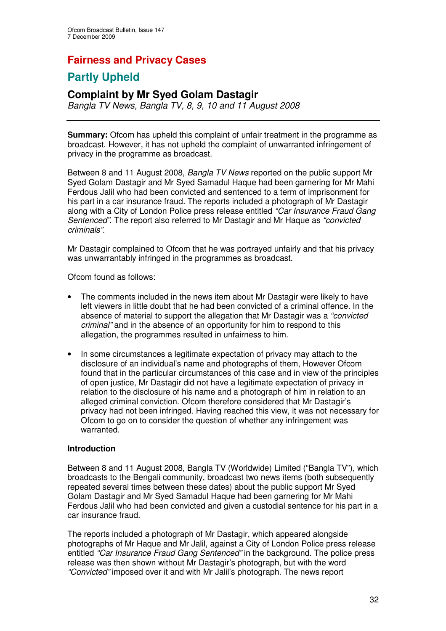## **Fairness and Privacy Cases**

## **Partly Upheld**

## **Complaint by Mr Syed Golam Dastagir**

*Bangla TV News, Bangla TV, 8, 9, 10 and 11 August 2008*

**Summary:** Ofcom has upheld this complaint of unfair treatment in the programme as broadcast. However, it has not upheld the complaint of unwarranted infringement of privacy in the programme as broadcast.

Between 8 and 11 August 2008, *Bangla TV News* reported on the public support Mr Syed Golam Dastagir and Mr Syed Samadul Haque had been garnering for Mr Mahi Ferdous Jalil who had been convicted and sentenced to a term of imprisonment for his part in a car insurance fraud. The reports included a photograph of Mr Dastagir along with a City of London Police press release entitled *"Car Insurance Fraud Gang Sentenced"*. The report also referred to Mr Dastagir and Mr Haque as *"convicted criminals"*.

Mr Dastagir complained to Ofcom that he was portrayed unfairly and that his privacy was unwarrantably infringed in the programmes as broadcast.

Ofcom found as follows:

- The comments included in the news item about Mr Dastagir were likely to have left viewers in little doubt that he had been convicted of a criminal offence. In the absence of material to support the allegation that Mr Dastagir was a *"convicted criminal"* and in the absence of an opportunity for him to respond to this allegation, the programmes resulted in unfairness to him.
- In some circumstances a legitimate expectation of privacy may attach to the disclosure of an individual's name and photographs of them, However Ofcom found that in the particular circumstances of this case and in view of the principles of open justice, Mr Dastagir did not have a legitimate expectation of privacy in relation to the disclosure of his name and a photograph of him in relation to an alleged criminal conviction. Ofcom therefore considered that Mr Dastagir's privacy had not been infringed. Having reached this view, it was not necessary for Ofcom to go on to consider the question of whether any infringement was warranted.

## **Introduction**

Between 8 and 11 August 2008, Bangla TV (Worldwide) Limited ("Bangla TV"), which broadcasts to the Bengali community, broadcast two news items (both subsequently repeated several times between these dates) about the public support Mr Syed Golam Dastagir and Mr Syed Samadul Haque had been garnering for Mr Mahi Ferdous Jalil who had been convicted and given a custodial sentence for his part in a car insurance fraud.

The reports included a photograph of Mr Dastagir, which appeared alongside photographs of Mr Haque and Mr Jalil, against a City of London Police press release entitled *"Car Insurance Fraud Gang Sentenced"* in the background. The police press release was then shown without Mr Dastagir's photograph, but with the word *"Convicted"* imposed over it and with Mr Jalil's photograph. The news report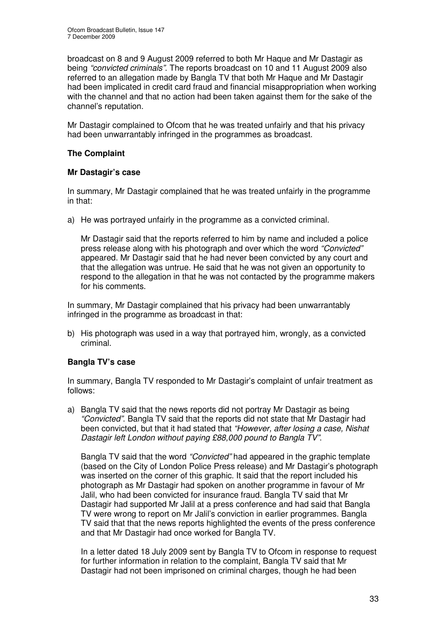broadcast on 8 and 9 August 2009 referred to both Mr Haque and Mr Dastagir as being *"convicted criminals"*. The reports broadcast on 10 and 11 August 2009 also referred to an allegation made by Bangla TV that both Mr Haque and Mr Dastagir had been implicated in credit card fraud and financial misappropriation when working with the channel and that no action had been taken against them for the sake of the channel's reputation.

Mr Dastagir complained to Ofcom that he was treated unfairly and that his privacy had been unwarrantably infringed in the programmes as broadcast.

## **The Complaint**

## **Mr Dastagir's case**

In summary, Mr Dastagir complained that he was treated unfairly in the programme in that:

a) He was portrayed unfairly in the programme as a convicted criminal.

Mr Dastagir said that the reports referred to him by name and included a police press release along with his photograph and over which the word *"Convicted"* appeared. Mr Dastagir said that he had never been convicted by any court and that the allegation was untrue. He said that he was not given an opportunity to respond to the allegation in that he was not contacted by the programme makers for his comments.

In summary, Mr Dastagir complained that his privacy had been unwarrantably infringed in the programme as broadcast in that:

b) His photograph was used in a way that portrayed him, wrongly, as a convicted criminal.

## **Bangla TV's case**

In summary, Bangla TV responded to Mr Dastagir's complaint of unfair treatment as follows:

a) Bangla TV said that the news reports did not portray Mr Dastagir as being *"Convicted"*. Bangla TV said that the reports did not state that Mr Dastagir had been convicted, but that it had stated that *"However, after losing a case, Nishat Dastagir left London without paying £88,000 pound to Bangla TV"*.

Bangla TV said that the word *"Convicted"* had appeared in the graphic template (based on the City of London Police Press release) and Mr Dastagir's photograph was inserted on the corner of this graphic. It said that the report included his photograph as Mr Dastagir had spoken on another programme in favour of Mr Jalil, who had been convicted for insurance fraud. Bangla TV said that Mr Dastagir had supported Mr Jalil at a press conference and had said that Bangla TV were wrong to report on Mr Jalil's conviction in earlier programmes. Bangla TV said that that the news reports highlighted the events of the press conference and that Mr Dastagir had once worked for Bangla TV.

In a letter dated 18 July 2009 sent by Bangla TV to Ofcom in response to request for further information in relation to the complaint, Bangla TV said that Mr Dastagir had not been imprisoned on criminal charges, though he had been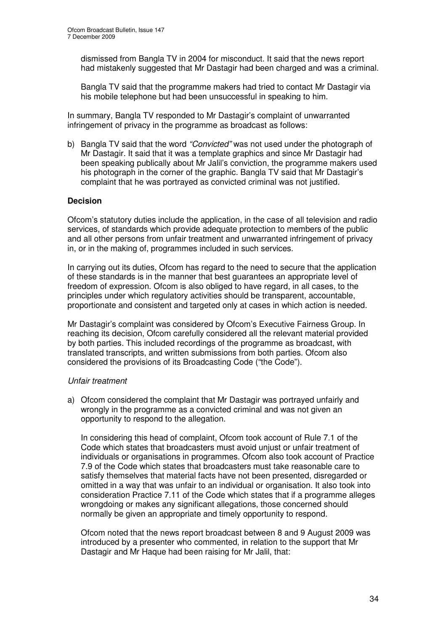dismissed from Bangla TV in 2004 for misconduct. It said that the news report had mistakenly suggested that Mr Dastagir had been charged and was a criminal.

Bangla TV said that the programme makers had tried to contact Mr Dastagir via his mobile telephone but had been unsuccessful in speaking to him.

In summary, Bangla TV responded to Mr Dastagir's complaint of unwarranted infringement of privacy in the programme as broadcast as follows:

b) Bangla TV said that the word *"Convicted"* was not used under the photograph of Mr Dastagir. It said that it was a template graphics and since Mr Dastagir had been speaking publically about Mr Jalil's conviction, the programme makers used his photograph in the corner of the graphic. Bangla TV said that Mr Dastagir's complaint that he was portrayed as convicted criminal was not justified.

#### **Decision**

Ofcom's statutory duties include the application, in the case of all television and radio services, of standards which provide adequate protection to members of the public and all other persons from unfair treatment and unwarranted infringement of privacy in, or in the making of, programmes included in such services.

In carrying out its duties, Ofcom has regard to the need to secure that the application of these standards is in the manner that best guarantees an appropriate level of freedom of expression. Ofcom is also obliged to have regard, in all cases, to the principles under which regulatory activities should be transparent, accountable, proportionate and consistent and targeted only at cases in which action is needed.

Mr Dastagir's complaint was considered by Ofcom's Executive Fairness Group. In reaching its decision, Ofcom carefully considered all the relevant material provided by both parties. This included recordings of the programme as broadcast, with translated transcripts, and written submissions from both parties. Ofcom also considered the provisions of its Broadcasting Code ("the Code").

#### *Unfair treatment*

a) Ofcom considered the complaint that Mr Dastagir was portrayed unfairly and wrongly in the programme as a convicted criminal and was not given an opportunity to respond to the allegation.

In considering this head of complaint, Ofcom took account of Rule 7.1 of the Code which states that broadcasters must avoid unjust or unfair treatment of individuals or organisations in programmes. Ofcom also took account of Practice 7.9 of the Code which states that broadcasters must take reasonable care to satisfy themselves that material facts have not been presented, disregarded or omitted in a way that was unfair to an individual or organisation. It also took into consideration Practice 7.11 of the Code which states that if a programme alleges wrongdoing or makes any significant allegations, those concerned should normally be given an appropriate and timely opportunity to respond.

Ofcom noted that the news report broadcast between 8 and 9 August 2009 was introduced by a presenter who commented, in relation to the support that Mr Dastagir and Mr Haque had been raising for Mr Jalil, that: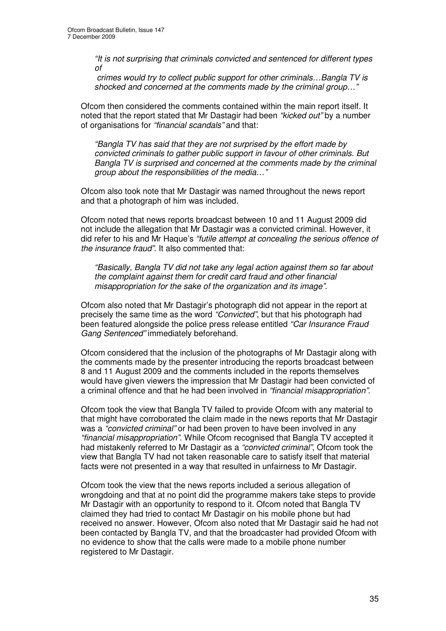*"It is not surprising that criminals convicted and sentenced for different types of*

*crimes would try to collect public support for other criminals…Bangla TV is shocked and concerned at the comments made by the criminal group…"*

Ofcom then considered the comments contained within the main report itself. It noted that the report stated that Mr Dastagir had been *"kicked out"* by a number of organisations for *"financial scandals"* and that:

*"Bangla TV has said that they are not surprised by the effort made by convicted criminals to gather public support in favour of other criminals. But Bangla TV is surprised and concerned at the comments made by the criminal group about the responsibilities of the media…"*

Ofcom also took note that Mr Dastagir was named throughout the news report and that a photograph of him was included.

Ofcom noted that news reports broadcast between 10 and 11 August 2009 did not include the allegation that Mr Dastagir was a convicted criminal. However, it did refer to his and Mr Haque's *"futile attempt at concealing the serious offence of the insurance fraud"*. It also commented that:

*"Basically, Bangla TV did not take any legal action against them so far about the complaint against them for credit card fraud and other financial misappropriation for the sake of the organization and its image"*.

Ofcom also noted that Mr Dastagir's photograph did not appear in the report at precisely the same time as the word *"Convicted"*, but that his photograph had been featured alongside the police press release entitled *"Car Insurance Fraud Gang Sentenced"* immediately beforehand.

Ofcom considered that the inclusion of the photographs of Mr Dastagir along with the comments made by the presenter introducing the reports broadcast between 8 and 11 August 2009 and the comments included in the reports themselves would have given viewers the impression that Mr Dastagir had been convicted of a criminal offence and that he had been involved in *"financial misappropriation"*.

Ofcom took the view that Bangla TV failed to provide Ofcom with any material to that might have corroborated the claim made in the news reports that Mr Dastagir was a *"convicted criminal"* or had been proven to have been involved in any *"financial misappropriation"*. While Ofcom recognised that Bangla TV accepted it had mistakenly referred to Mr Dastagir as a *"convicted criminal"*, Ofcom took the view that Bangla TV had not taken reasonable care to satisfy itself that material facts were not presented in a way that resulted in unfairness to Mr Dastagir.

Ofcom took the view that the news reports included a serious allegation of wrongdoing and that at no point did the programme makers take steps to provide Mr Dastagir with an opportunity to respond to it. Ofcom noted that Bangla TV claimed they had tried to contact Mr Dastagir on his mobile phone but had received no answer. However, Ofcom also noted that Mr Dastagir said he had not been contacted by Bangla TV, and that the broadcaster had provided Ofcom with no evidence to show that the calls were made to a mobile phone number registered to Mr Dastagir.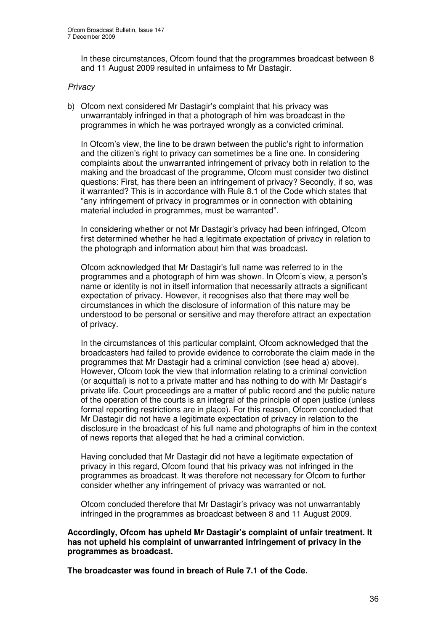In these circumstances, Ofcom found that the programmes broadcast between 8 and 11 August 2009 resulted in unfairness to Mr Dastagir.

#### *Privacy*

b) Ofcom next considered Mr Dastagir's complaint that his privacy was unwarrantably infringed in that a photograph of him was broadcast in the programmes in which he was portrayed wrongly as a convicted criminal.

In Ofcom's view, the line to be drawn between the public's right to information and the citizen's right to privacy can sometimes be a fine one. In considering complaints about the unwarranted infringement of privacy both in relation to the making and the broadcast of the programme, Ofcom must consider two distinct questions: First, has there been an infringement of privacy? Secondly, if so, was it warranted? This is in accordance with Rule 8.1 of the Code which states that "any infringement of privacy in programmes or in connection with obtaining material included in programmes, must be warranted".

In considering whether or not Mr Dastagir's privacy had been infringed, Ofcom first determined whether he had a legitimate expectation of privacy in relation to the photograph and information about him that was broadcast.

Ofcom acknowledged that Mr Dastagir's full name was referred to in the programmes and a photograph of him was shown. In Ofcom's view, a person's name or identity is not in itself information that necessarily attracts a significant expectation of privacy. However, it recognises also that there may well be circumstances in which the disclosure of information of this nature may be understood to be personal or sensitive and may therefore attract an expectation of privacy.

In the circumstances of this particular complaint, Ofcom acknowledged that the broadcasters had failed to provide evidence to corroborate the claim made in the programmes that Mr Dastagir had a criminal conviction (see head a) above). However, Ofcom took the view that information relating to a criminal conviction (or acquittal) is not to a private matter and has nothing to do with Mr Dastagir's private life. Court proceedings are a matter of public record and the public nature of the operation of the courts is an integral of the principle of open justice (unless formal reporting restrictions are in place). For this reason, Ofcom concluded that Mr Dastagir did not have a legitimate expectation of privacy in relation to the disclosure in the broadcast of his full name and photographs of him in the context of news reports that alleged that he had a criminal conviction.

Having concluded that Mr Dastagir did not have a legitimate expectation of privacy in this regard, Ofcom found that his privacy was not infringed in the programmes as broadcast. It was therefore not necessary for Ofcom to further consider whether any infringement of privacy was warranted or not.

Ofcom concluded therefore that Mr Dastagir's privacy was not unwarrantably infringed in the programmes as broadcast between 8 and 11 August 2009.

**Accordingly, Ofcom has upheld Mr Dastagir's complaint of unfair treatment. It has not upheld his complaint of unwarranted infringement of privacy in the programmes as broadcast.**

**The broadcaster was found in breach of Rule 7.1 of the Code.**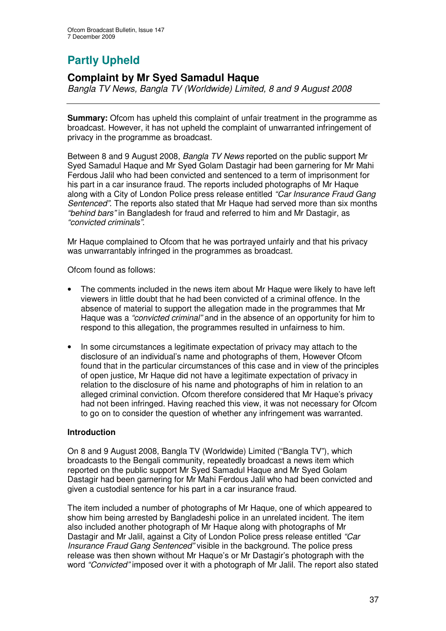# **Partly Upheld**

## **Complaint by Mr Syed Samadul Haque**

*Bangla TV News, Bangla TV (Worldwide) Limited, 8 and 9 August 2008*

**Summary:** Ofcom has upheld this complaint of unfair treatment in the programme as broadcast. However, it has not upheld the complaint of unwarranted infringement of privacy in the programme as broadcast.

Between 8 and 9 August 2008, *Bangla TV News* reported on the public support Mr Syed Samadul Haque and Mr Syed Golam Dastagir had been garnering for Mr Mahi Ferdous Jalil who had been convicted and sentenced to a term of imprisonment for his part in a car insurance fraud. The reports included photographs of Mr Haque along with a City of London Police press release entitled *"Car Insurance Fraud Gang Sentenced"*. The reports also stated that Mr Haque had served more than six months *"behind bars"* in Bangladesh for fraud and referred to him and Mr Dastagir, as *"convicted criminals"*.

Mr Haque complained to Ofcom that he was portrayed unfairly and that his privacy was unwarrantably infringed in the programmes as broadcast.

Ofcom found as follows:

- The comments included in the news item about Mr Haque were likely to have left viewers in little doubt that he had been convicted of a criminal offence. In the absence of material to support the allegation made in the programmes that Mr Haque was a *"convicted criminal"* and in the absence of an opportunity for him to respond to this allegation, the programmes resulted in unfairness to him.
- In some circumstances a legitimate expectation of privacy may attach to the disclosure of an individual's name and photographs of them, However Ofcom found that in the particular circumstances of this case and in view of the principles of open justice, Mr Haque did not have a legitimate expectation of privacy in relation to the disclosure of his name and photographs of him in relation to an alleged criminal conviction. Ofcom therefore considered that Mr Haque's privacy had not been infringed. Having reached this view, it was not necessary for Ofcom to go on to consider the question of whether any infringement was warranted.

## **Introduction**

On 8 and 9 August 2008, Bangla TV (Worldwide) Limited ("Bangla TV"), which broadcasts to the Bengali community, repeatedly broadcast a news item which reported on the public support Mr Syed Samadul Haque and Mr Syed Golam Dastagir had been garnering for Mr Mahi Ferdous Jalil who had been convicted and given a custodial sentence for his part in a car insurance fraud.

The item included a number of photographs of Mr Haque, one of which appeared to show him being arrested by Bangladeshi police in an unrelated incident. The item also included another photograph of Mr Haque along with photographs of Mr Dastagir and Mr Jalil, against a City of London Police press release entitled *"Car Insurance Fraud Gang Sentenced"* visible in the background. The police press release was then shown without Mr Haque's or Mr Dastagir's photograph with the word *"Convicted"* imposed over it with a photograph of Mr Jalil. The report also stated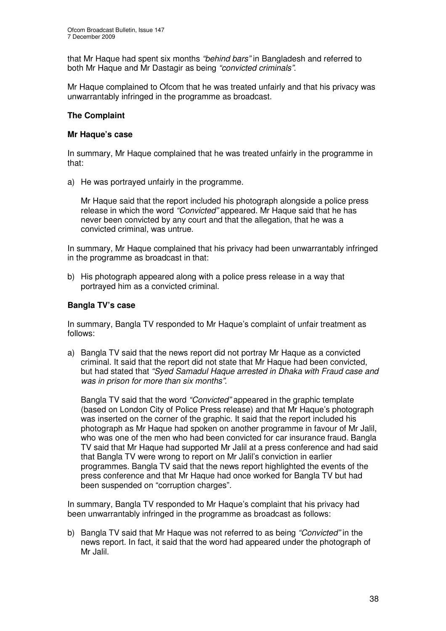that Mr Haque had spent six months *"behind bars"* in Bangladesh and referred to both Mr Haque and Mr Dastagir as being *"convicted criminals"*.

Mr Haque complained to Ofcom that he was treated unfairly and that his privacy was unwarrantably infringed in the programme as broadcast.

## **The Complaint**

#### **Mr Haque's case**

In summary, Mr Haque complained that he was treated unfairly in the programme in that:

a) He was portrayed unfairly in the programme.

Mr Haque said that the report included his photograph alongside a police press release in which the word *"Convicted"* appeared. Mr Haque said that he has never been convicted by any court and that the allegation, that he was a convicted criminal, was untrue.

In summary, Mr Haque complained that his privacy had been unwarrantably infringed in the programme as broadcast in that:

b) His photograph appeared along with a police press release in a way that portrayed him as a convicted criminal.

## **Bangla TV's case**

In summary, Bangla TV responded to Mr Haque's complaint of unfair treatment as follows:

a) Bangla TV said that the news report did not portray Mr Haque as a convicted criminal. It said that the report did not state that Mr Haque had been convicted, but had stated that *"Syed Samadul Haque arrested in Dhaka with Fraud case and was in prison for more than six months"*.

Bangla TV said that the word *"Convicted"* appeared in the graphic template (based on London City of Police Press release) and that Mr Haque's photograph was inserted on the corner of the graphic. It said that the report included his photograph as Mr Haque had spoken on another programme in favour of Mr Jalil, who was one of the men who had been convicted for car insurance fraud. Bangla TV said that Mr Haque had supported Mr Jalil at a press conference and had said that Bangla TV were wrong to report on Mr Jalil's conviction in earlier programmes. Bangla TV said that the news report highlighted the events of the press conference and that Mr Haque had once worked for Bangla TV but had been suspended on "corruption charges".

In summary, Bangla TV responded to Mr Haque's complaint that his privacy had been unwarrantably infringed in the programme as broadcast as follows:

b) Bangla TV said that Mr Haque was not referred to as being *"Convicted"* in the news report. In fact, it said that the word had appeared under the photograph of Mr Jalil.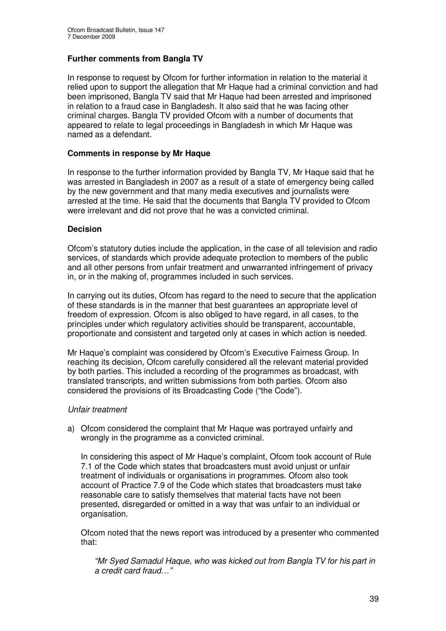## **Further comments from Bangla TV**

In response to request by Ofcom for further information in relation to the material it relied upon to support the allegation that Mr Haque had a criminal conviction and had been imprisoned, Bangla TV said that Mr Haque had been arrested and imprisoned in relation to a fraud case in Bangladesh. It also said that he was facing other criminal charges. Bangla TV provided Ofcom with a number of documents that appeared to relate to legal proceedings in Bangladesh in which Mr Haque was named as a defendant.

## **Comments in response by Mr Haque**

In response to the further information provided by Bangla TV, Mr Haque said that he was arrested in Bangladesh in 2007 as a result of a state of emergency being called by the new government and that many media executives and journalists were arrested at the time. He said that the documents that Bangla TV provided to Ofcom were irrelevant and did not prove that he was a convicted criminal.

#### **Decision**

Ofcom's statutory duties include the application, in the case of all television and radio services, of standards which provide adequate protection to members of the public and all other persons from unfair treatment and unwarranted infringement of privacy in, or in the making of, programmes included in such services.

In carrying out its duties, Ofcom has regard to the need to secure that the application of these standards is in the manner that best guarantees an appropriate level of freedom of expression. Ofcom is also obliged to have regard, in all cases, to the principles under which regulatory activities should be transparent, accountable, proportionate and consistent and targeted only at cases in which action is needed.

Mr Haque's complaint was considered by Ofcom's Executive Fairness Group. In reaching its decision, Ofcom carefully considered all the relevant material provided by both parties. This included a recording of the programmes as broadcast, with translated transcripts, and written submissions from both parties. Ofcom also considered the provisions of its Broadcasting Code ("the Code").

## *Unfair treatment*

a) Ofcom considered the complaint that Mr Haque was portrayed unfairly and wrongly in the programme as a convicted criminal.

In considering this aspect of Mr Haque's complaint, Ofcom took account of Rule 7.1 of the Code which states that broadcasters must avoid unjust or unfair treatment of individuals or organisations in programmes. Ofcom also took account of Practice 7.9 of the Code which states that broadcasters must take reasonable care to satisfy themselves that material facts have not been presented, disregarded or omitted in a way that was unfair to an individual or organisation.

Ofcom noted that the news report was introduced by a presenter who commented that:

*"Mr Syed Samadul Haque, who was kicked out from Bangla TV for his part in a credit card fraud…"*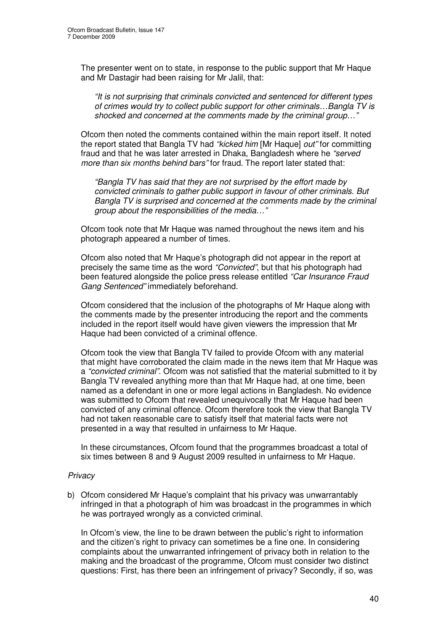The presenter went on to state, in response to the public support that Mr Haque and Mr Dastagir had been raising for Mr Jalil, that:

*"It is not surprising that criminals convicted and sentenced for different types of crimes would try to collect public support for other criminals…Bangla TV is shocked and concerned at the comments made by the criminal group…"*

Ofcom then noted the comments contained within the main report itself. It noted the report stated that Bangla TV had *"kicked him* [Mr Haque] *out"* for committing fraud and that he was later arrested in Dhaka, Bangladesh where he *"served more than six months behind bars"* for fraud. The report later stated that:

*"Bangla TV has said that they are not surprised by the effort made by convicted criminals to gather public support in favour of other criminals. But Bangla TV is surprised and concerned at the comments made by the criminal group about the responsibilities of the media…"*

Ofcom took note that Mr Haque was named throughout the news item and his photograph appeared a number of times.

Ofcom also noted that Mr Haque's photograph did not appear in the report at precisely the same time as the word *"Convicted"*, but that his photograph had been featured alongside the police press release entitled *"Car Insurance Fraud Gang Sentenced"* immediately beforehand.

Ofcom considered that the inclusion of the photographs of Mr Haque along with the comments made by the presenter introducing the report and the comments included in the report itself would have given viewers the impression that Mr Haque had been convicted of a criminal offence.

Ofcom took the view that Bangla TV failed to provide Ofcom with any material that might have corroborated the claim made in the news item that Mr Haque was a *"convicted criminal"*. Ofcom was not satisfied that the material submitted to it by Bangla TV revealed anything more than that Mr Haque had, at one time, been named as a defendant in one or more legal actions in Bangladesh. No evidence was submitted to Ofcom that revealed unequivocally that Mr Haque had been convicted of any criminal offence. Ofcom therefore took the view that Bangla TV had not taken reasonable care to satisfy itself that material facts were not presented in a way that resulted in unfairness to Mr Haque.

In these circumstances, Ofcom found that the programmes broadcast a total of six times between 8 and 9 August 2009 resulted in unfairness to Mr Haque.

## *Privacy*

b) Ofcom considered Mr Haque's complaint that his privacy was unwarrantably infringed in that a photograph of him was broadcast in the programmes in which he was portrayed wrongly as a convicted criminal.

In Ofcom's view, the line to be drawn between the public's right to information and the citizen's right to privacy can sometimes be a fine one. In considering complaints about the unwarranted infringement of privacy both in relation to the making and the broadcast of the programme, Ofcom must consider two distinct questions: First, has there been an infringement of privacy? Secondly, if so, was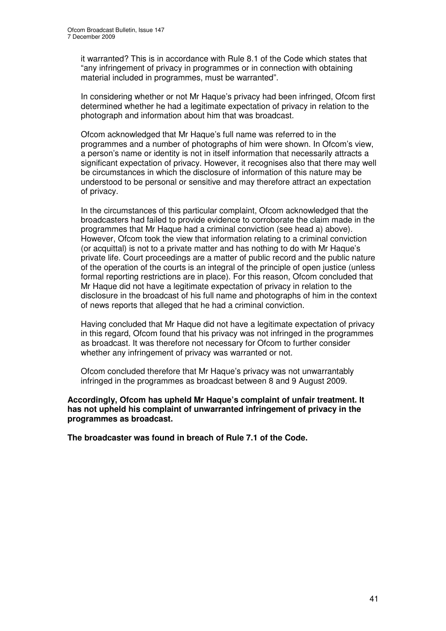it warranted? This is in accordance with Rule 8.1 of the Code which states that "any infringement of privacy in programmes or in connection with obtaining material included in programmes, must be warranted".

In considering whether or not Mr Haque's privacy had been infringed, Ofcom first determined whether he had a legitimate expectation of privacy in relation to the photograph and information about him that was broadcast.

Ofcom acknowledged that Mr Haque's full name was referred to in the programmes and a number of photographs of him were shown. In Ofcom's view, a person's name or identity is not in itself information that necessarily attracts a significant expectation of privacy. However, it recognises also that there may well be circumstances in which the disclosure of information of this nature may be understood to be personal or sensitive and may therefore attract an expectation of privacy.

In the circumstances of this particular complaint, Ofcom acknowledged that the broadcasters had failed to provide evidence to corroborate the claim made in the programmes that Mr Haque had a criminal conviction (see head a) above). However, Ofcom took the view that information relating to a criminal conviction (or acquittal) is not to a private matter and has nothing to do with Mr Haque's private life. Court proceedings are a matter of public record and the public nature of the operation of the courts is an integral of the principle of open justice (unless formal reporting restrictions are in place). For this reason, Ofcom concluded that Mr Haque did not have a legitimate expectation of privacy in relation to the disclosure in the broadcast of his full name and photographs of him in the context of news reports that alleged that he had a criminal conviction.

Having concluded that Mr Haque did not have a legitimate expectation of privacy in this regard, Ofcom found that his privacy was not infringed in the programmes as broadcast. It was therefore not necessary for Ofcom to further consider whether any infringement of privacy was warranted or not.

Ofcom concluded therefore that Mr Haque's privacy was not unwarrantably infringed in the programmes as broadcast between 8 and 9 August 2009.

#### **Accordingly, Ofcom has upheld Mr Haque's complaint of unfair treatment. It has not upheld his complaint of unwarranted infringement of privacy in the programmes as broadcast.**

**The broadcaster was found in breach of Rule 7.1 of the Code.**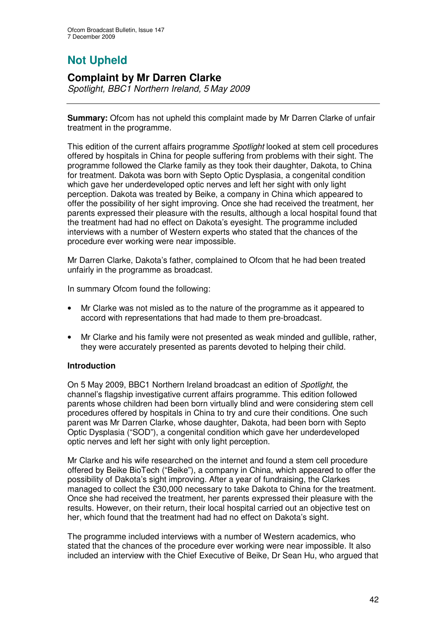# **Not Upheld**

## **Complaint by Mr Darren Clarke**

*Spotlight, BBC1 Northern Ireland, 5 May 2009*

**Summary:** Ofcom has not upheld this complaint made by Mr Darren Clarke of unfair treatment in the programme.

This edition of the current affairs programme *Spotlight* looked at stem cell procedures offered by hospitals in China for people suffering from problems with their sight. The programme followed the Clarke family as they took their daughter, Dakota, to China for treatment. Dakota was born with Septo Optic Dysplasia, a congenital condition which gave her underdeveloped optic nerves and left her sight with only light perception. Dakota was treated by Beike, a company in China which appeared to offer the possibility of her sight improving. Once she had received the treatment, her parents expressed their pleasure with the results, although a local hospital found that the treatment had had no effect on Dakota's eyesight. The programme included interviews with a number of Western experts who stated that the chances of the procedure ever working were near impossible.

Mr Darren Clarke, Dakota's father, complained to Ofcom that he had been treated unfairly in the programme as broadcast.

In summary Ofcom found the following:

- Mr Clarke was not misled as to the nature of the programme as it appeared to accord with representations that had made to them pre-broadcast.
- Mr Clarke and his family were not presented as weak minded and gullible, rather, they were accurately presented as parents devoted to helping their child.

## **Introduction**

On 5 May 2009, BBC1 Northern Ireland broadcast an edition of *Spotlight*, the channel's flagship investigative current affairs programme. This edition followed parents whose children had been born virtually blind and were considering stem cell procedures offered by hospitals in China to try and cure their conditions. One such parent was Mr Darren Clarke, whose daughter, Dakota, had been born with Septo Optic Dysplasia ("SOD"), a congenital condition which gave her underdeveloped optic nerves and left her sight with only light perception.

Mr Clarke and his wife researched on the internet and found a stem cell procedure offered by Beike BioTech ("Beike"), a company in China, which appeared to offer the possibility of Dakota's sight improving. After a year of fundraising, the Clarkes managed to collect the £30,000 necessary to take Dakota to China for the treatment. Once she had received the treatment, her parents expressed their pleasure with the results. However, on their return, their local hospital carried out an objective test on her, which found that the treatment had had no effect on Dakota's sight.

The programme included interviews with a number of Western academics, who stated that the chances of the procedure ever working were near impossible. It also included an interview with the Chief Executive of Beike, Dr Sean Hu, who argued that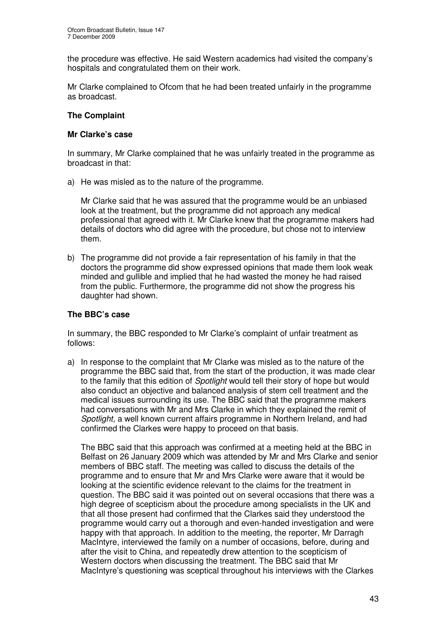the procedure was effective. He said Western academics had visited the company's hospitals and congratulated them on their work.

Mr Clarke complained to Ofcom that he had been treated unfairly in the programme as broadcast.

## **The Complaint**

#### **Mr Clarke's case**

In summary, Mr Clarke complained that he was unfairly treated in the programme as broadcast in that:

a) He was misled as to the nature of the programme.

Mr Clarke said that he was assured that the programme would be an unbiased look at the treatment, but the programme did not approach any medical professional that agreed with it. Mr Clarke knew that the programme makers had details of doctors who did agree with the procedure, but chose not to interview them.

b) The programme did not provide a fair representation of his family in that the doctors the programme did show expressed opinions that made them look weak minded and gullible and implied that he had wasted the money he had raised from the public. Furthermore, the programme did not show the progress his daughter had shown.

#### **The BBC's case**

In summary, the BBC responded to Mr Clarke's complaint of unfair treatment as follows:

a) In response to the complaint that Mr Clarke was misled as to the nature of the programme the BBC said that, from the start of the production, it was made clear to the family that this edition of *Spotlight* would tell their story of hope but would also conduct an objective and balanced analysis of stem cell treatment and the medical issues surrounding its use. The BBC said that the programme makers had conversations with Mr and Mrs Clarke in which they explained the remit of *Spotlight*, a well known current affairs programme in Northern Ireland, and had confirmed the Clarkes were happy to proceed on that basis.

The BBC said that this approach was confirmed at a meeting held at the BBC in Belfast on 26 January 2009 which was attended by Mr and Mrs Clarke and senior members of BBC staff. The meeting was called to discuss the details of the programme and to ensure that Mr and Mrs Clarke were aware that it would be looking at the scientific evidence relevant to the claims for the treatment in question. The BBC said it was pointed out on several occasions that there was a high degree of scepticism about the procedure among specialists in the UK and that all those present had confirmed that the Clarkes said they understood the programme would carry out a thorough and even-handed investigation and were happy with that approach. In addition to the meeting, the reporter, Mr Darragh MacIntyre, interviewed the family on a number of occasions, before, during and after the visit to China, and repeatedly drew attention to the scepticism of Western doctors when discussing the treatment. The BBC said that Mr MacIntyre's questioning was sceptical throughout his interviews with the Clarkes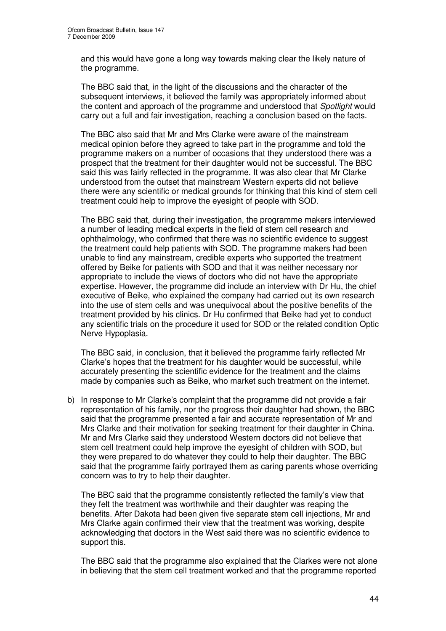and this would have gone a long way towards making clear the likely nature of the programme.

The BBC said that, in the light of the discussions and the character of the subsequent interviews, it believed the family was appropriately informed about the content and approach of the programme and understood that *Spotlight* would carry out a full and fair investigation, reaching a conclusion based on the facts.

The BBC also said that Mr and Mrs Clarke were aware of the mainstream medical opinion before they agreed to take part in the programme and told the programme makers on a number of occasions that they understood there was a prospect that the treatment for their daughter would not be successful. The BBC said this was fairly reflected in the programme. It was also clear that Mr Clarke understood from the outset that mainstream Western experts did not believe there were any scientific or medical grounds for thinking that this kind of stem cell treatment could help to improve the eyesight of people with SOD.

The BBC said that, during their investigation, the programme makers interviewed a number of leading medical experts in the field of stem cell research and ophthalmology, who confirmed that there was no scientific evidence to suggest the treatment could help patients with SOD. The programme makers had been unable to find any mainstream, credible experts who supported the treatment offered by Beike for patients with SOD and that it was neither necessary nor appropriate to include the views of doctors who did not have the appropriate expertise. However, the programme did include an interview with Dr Hu, the chief executive of Beike, who explained the company had carried out its own research into the use of stem cells and was unequivocal about the positive benefits of the treatment provided by his clinics. Dr Hu confirmed that Beike had yet to conduct any scientific trials on the procedure it used for SOD or the related condition Optic Nerve Hypoplasia.

The BBC said, in conclusion, that it believed the programme fairly reflected Mr Clarke's hopes that the treatment for his daughter would be successful, while accurately presenting the scientific evidence for the treatment and the claims made by companies such as Beike, who market such treatment on the internet.

b) In response to Mr Clarke's complaint that the programme did not provide a fair representation of his family, nor the progress their daughter had shown, the BBC said that the programme presented a fair and accurate representation of Mr and Mrs Clarke and their motivation for seeking treatment for their daughter in China. Mr and Mrs Clarke said they understood Western doctors did not believe that stem cell treatment could help improve the eyesight of children with SOD, but they were prepared to do whatever they could to help their daughter. The BBC said that the programme fairly portrayed them as caring parents whose overriding concern was to try to help their daughter.

The BBC said that the programme consistently reflected the family's view that they felt the treatment was worthwhile and their daughter was reaping the benefits. After Dakota had been given five separate stem cell injections, Mr and Mrs Clarke again confirmed their view that the treatment was working, despite acknowledging that doctors in the West said there was no scientific evidence to support this.

The BBC said that the programme also explained that the Clarkes were not alone in believing that the stem cell treatment worked and that the programme reported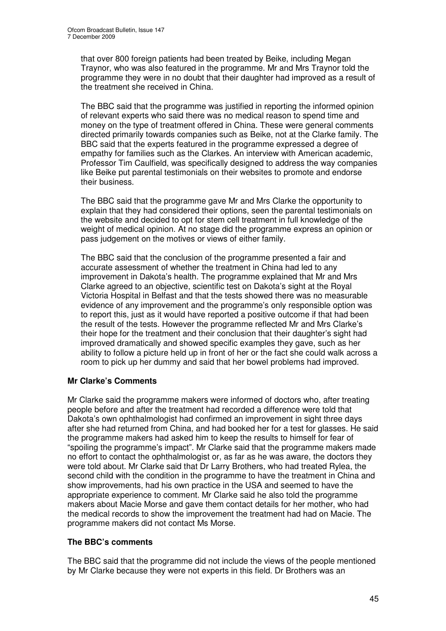that over 800 foreign patients had been treated by Beike, including Megan Traynor, who was also featured in the programme. Mr and Mrs Traynor told the programme they were in no doubt that their daughter had improved as a result of the treatment she received in China.

The BBC said that the programme was justified in reporting the informed opinion of relevant experts who said there was no medical reason to spend time and money on the type of treatment offered in China. These were general comments directed primarily towards companies such as Beike, not at the Clarke family. The BBC said that the experts featured in the programme expressed a degree of empathy for families such as the Clarkes. An interview with American academic, Professor Tim Caulfield, was specifically designed to address the way companies like Beike put parental testimonials on their websites to promote and endorse their business.

The BBC said that the programme gave Mr and Mrs Clarke the opportunity to explain that they had considered their options, seen the parental testimonials on the website and decided to opt for stem cell treatment in full knowledge of the weight of medical opinion. At no stage did the programme express an opinion or pass judgement on the motives or views of either family.

The BBC said that the conclusion of the programme presented a fair and accurate assessment of whether the treatment in China had led to any improvement in Dakota's health. The programme explained that Mr and Mrs Clarke agreed to an objective, scientific test on Dakota's sight at the Royal Victoria Hospital in Belfast and that the tests showed there was no measurable evidence of any improvement and the programme's only responsible option was to report this, just as it would have reported a positive outcome if that had been the result of the tests. However the programme reflected Mr and Mrs Clarke's their hope for the treatment and their conclusion that their daughter's sight had improved dramatically and showed specific examples they gave, such as her ability to follow a picture held up in front of her or the fact she could walk across a room to pick up her dummy and said that her bowel problems had improved.

## **Mr Clarke's Comments**

Mr Clarke said the programme makers were informed of doctors who, after treating people before and after the treatment had recorded a difference were told that Dakota's own ophthalmologist had confirmed an improvement in sight three days after she had returned from China, and had booked her for a test for glasses. He said the programme makers had asked him to keep the results to himself for fear of "spoiling the programme's impact". Mr Clarke said that the programme makers made no effort to contact the ophthalmologist or, as far as he was aware, the doctors they were told about. Mr Clarke said that Dr Larry Brothers, who had treated Rylea, the second child with the condition in the programme to have the treatment in China and show improvements, had his own practice in the USA and seemed to have the appropriate experience to comment. Mr Clarke said he also told the programme makers about Macie Morse and gave them contact details for her mother, who had the medical records to show the improvement the treatment had had on Macie. The programme makers did not contact Ms Morse.

## **The BBC's comments**

The BBC said that the programme did not include the views of the people mentioned by Mr Clarke because they were not experts in this field. Dr Brothers was an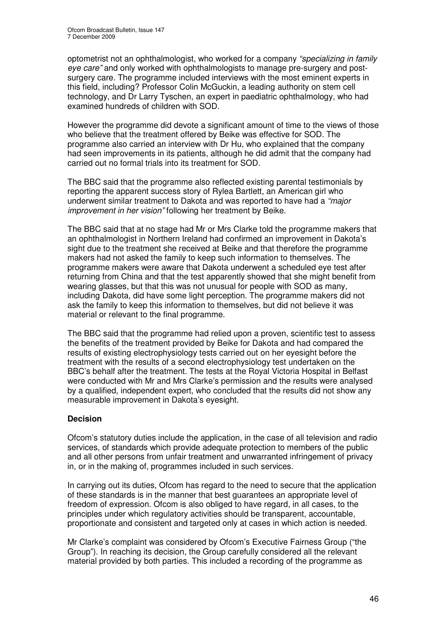optometrist not an ophthalmologist, who worked for a company *"specializing in family eye care"* and only worked with ophthalmologists to manage pre-surgery and postsurgery care. The programme included interviews with the most eminent experts in this field, including? Professor Colin McGuckin, a leading authority on stem cell technology, and Dr Larry Tyschen, an expert in paediatric ophthalmology, who had examined hundreds of children with SOD.

However the programme did devote a significant amount of time to the views of those who believe that the treatment offered by Beike was effective for SOD. The programme also carried an interview with Dr Hu, who explained that the company had seen improvements in its patients, although he did admit that the company had carried out no formal trials into its treatment for SOD.

The BBC said that the programme also reflected existing parental testimonials by reporting the apparent success story of Rylea Bartlett, an American girl who underwent similar treatment to Dakota and was reported to have had a *"major improvement in her vision"* following her treatment by Beike.

The BBC said that at no stage had Mr or Mrs Clarke told the programme makers that an ophthalmologist in Northern Ireland had confirmed an improvement in Dakota's sight due to the treatment she received at Beike and that therefore the programme makers had not asked the family to keep such information to themselves. The programme makers were aware that Dakota underwent a scheduled eye test after returning from China and that the test apparently showed that she might benefit from wearing glasses, but that this was not unusual for people with SOD as many, including Dakota, did have some light perception. The programme makers did not ask the family to keep this information to themselves, but did not believe it was material or relevant to the final programme.

The BBC said that the programme had relied upon a proven, scientific test to assess the benefits of the treatment provided by Beike for Dakota and had compared the results of existing electrophysiology tests carried out on her eyesight before the treatment with the results of a second electrophysiology test undertaken on the BBC's behalf after the treatment. The tests at the Royal Victoria Hospital in Belfast were conducted with Mr and Mrs Clarke's permission and the results were analysed by a qualified, independent expert, who concluded that the results did not show any measurable improvement in Dakota's eyesight.

## **Decision**

Ofcom's statutory duties include the application, in the case of all television and radio services, of standards which provide adequate protection to members of the public and all other persons from unfair treatment and unwarranted infringement of privacy in, or in the making of, programmes included in such services.

In carrying out its duties, Ofcom has regard to the need to secure that the application of these standards is in the manner that best guarantees an appropriate level of freedom of expression. Ofcom is also obliged to have regard, in all cases, to the principles under which regulatory activities should be transparent, accountable, proportionate and consistent and targeted only at cases in which action is needed.

Mr Clarke's complaint was considered by Ofcom's Executive Fairness Group ("the Group"). In reaching its decision, the Group carefully considered all the relevant material provided by both parties. This included a recording of the programme as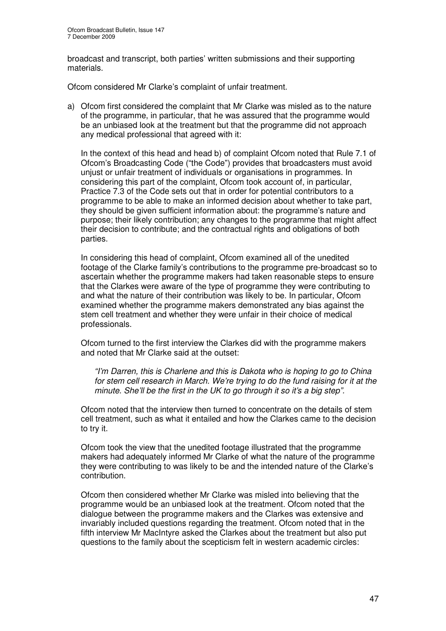broadcast and transcript, both parties' written submissions and their supporting materials.

Ofcom considered Mr Clarke's complaint of unfair treatment.

a) Ofcom first considered the complaint that Mr Clarke was misled as to the nature of the programme, in particular, that he was assured that the programme would be an unbiased look at the treatment but that the programme did not approach any medical professional that agreed with it:

In the context of this head and head b) of complaint Ofcom noted that Rule 7.1 of Ofcom's Broadcasting Code ("the Code") provides that broadcasters must avoid unjust or unfair treatment of individuals or organisations in programmes. In considering this part of the complaint, Ofcom took account of, in particular, Practice 7.3 of the Code sets out that in order for potential contributors to a programme to be able to make an informed decision about whether to take part, they should be given sufficient information about: the programme's nature and purpose; their likely contribution; any changes to the programme that might affect their decision to contribute; and the contractual rights and obligations of both parties.

In considering this head of complaint, Ofcom examined all of the unedited footage of the Clarke family's contributions to the programme pre-broadcast so to ascertain whether the programme makers had taken reasonable steps to ensure that the Clarkes were aware of the type of programme they were contributing to and what the nature of their contribution was likely to be. In particular, Ofcom examined whether the programme makers demonstrated any bias against the stem cell treatment and whether they were unfair in their choice of medical professionals.

Ofcom turned to the first interview the Clarkes did with the programme makers and noted that Mr Clarke said at the outset:

*"I'm Darren, this is Charlene and this is Dakota who is hoping to go to China for stem cell research in March. We're trying to do the fund raising for it at the minute. She'll be the first in the UK to go through it so it's a big step".*

Ofcom noted that the interview then turned to concentrate on the details of stem cell treatment, such as what it entailed and how the Clarkes came to the decision to try it.

Ofcom took the view that the unedited footage illustrated that the programme makers had adequately informed Mr Clarke of what the nature of the programme they were contributing to was likely to be and the intended nature of the Clarke's contribution.

Ofcom then considered whether Mr Clarke was misled into believing that the programme would be an unbiased look at the treatment. Ofcom noted that the dialogue between the programme makers and the Clarkes was extensive and invariably included questions regarding the treatment. Ofcom noted that in the fifth interview Mr MacIntyre asked the Clarkes about the treatment but also put questions to the family about the scepticism felt in western academic circles: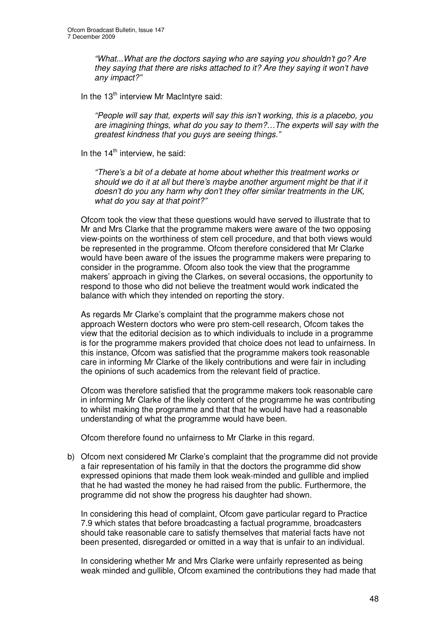*"What...What are the doctors saying who are saying you shouldn't go? Are they saying that there are risks attached to it? Are they saying it won't have any impact?"*

In the 13<sup>th</sup> interview Mr MacIntyre said:

*"People will say that, experts will say this isn't working, this is a placebo, you are imagining things, what do you say to them?…The experts will say with the greatest kindness that you guys are seeing things."*

In the 14<sup>th</sup> interview, he said:

*"There's a bit of a debate at home about whether this treatment works or should we do it at all but there's maybe another argument might be that if it doesn't do you any harm why don't they offer similar treatments in the UK, what do you say at that point?"*

Ofcom took the view that these questions would have served to illustrate that to Mr and Mrs Clarke that the programme makers were aware of the two opposing view-points on the worthiness of stem cell procedure, and that both views would be represented in the programme. Ofcom therefore considered that Mr Clarke would have been aware of the issues the programme makers were preparing to consider in the programme. Ofcom also took the view that the programme makers' approach in giving the Clarkes, on several occasions, the opportunity to respond to those who did not believe the treatment would work indicated the balance with which they intended on reporting the story.

As regards Mr Clarke's complaint that the programme makers chose not approach Western doctors who were pro stem-cell research, Ofcom takes the view that the editorial decision as to which individuals to include in a programme is for the programme makers provided that choice does not lead to unfairness. In this instance, Ofcom was satisfied that the programme makers took reasonable care in informing Mr Clarke of the likely contributions and were fair in including the opinions of such academics from the relevant field of practice.

Ofcom was therefore satisfied that the programme makers took reasonable care in informing Mr Clarke of the likely content of the programme he was contributing to whilst making the programme and that that he would have had a reasonable understanding of what the programme would have been.

Ofcom therefore found no unfairness to Mr Clarke in this regard.

b) Ofcom next considered Mr Clarke's complaint that the programme did not provide a fair representation of his family in that the doctors the programme did show expressed opinions that made them look weak-minded and gullible and implied that he had wasted the money he had raised from the public. Furthermore, the programme did not show the progress his daughter had shown.

In considering this head of complaint, Ofcom gave particular regard to Practice 7.9 which states that before broadcasting a factual programme, broadcasters should take reasonable care to satisfy themselves that material facts have not been presented, disregarded or omitted in a way that is unfair to an individual.

In considering whether Mr and Mrs Clarke were unfairly represented as being weak minded and gullible, Ofcom examined the contributions they had made that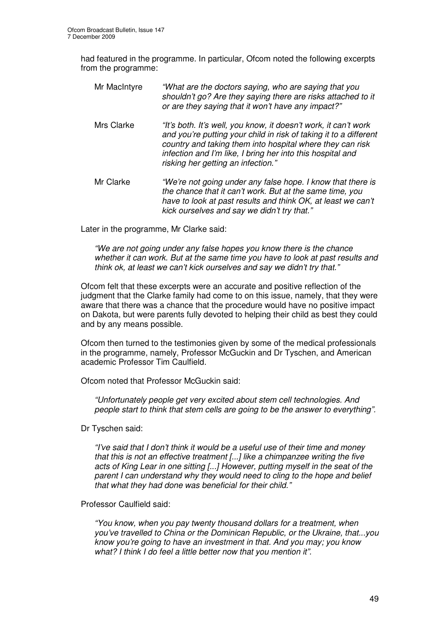had featured in the programme. In particular, Ofcom noted the following excerpts from the programme:

Mr MacIntyre *"What are the doctors saying, who are saying that you shouldn't go? Are they saying there are risks attached to it or are they saying that it won't have any impact?"* Mrs Clarke *"It's both. It's well, you know, it doesn't work, it can't work and you're putting your child in risk of taking it to a different country and taking them into hospital where they can risk infection and I'm like, I bring her into this hospital and risking her getting an infection."* Mr Clarke *"We're not going under any false hope. I know that there is the chance that it can't work. But at the same time, you*

Later in the programme, Mr Clarke said:

*"We are not going under any false hopes you know there is the chance whether it can work. But at the same time you have to look at past results and think ok, at least we can't kick ourselves and say we didn't try that."*

*kick ourselves and say we didn't try that."*

*have to look at past results and think OK, at least we can't*

Ofcom felt that these excerpts were an accurate and positive reflection of the judgment that the Clarke family had come to on this issue, namely, that they were aware that there was a chance that the procedure would have no positive impact on Dakota, but were parents fully devoted to helping their child as best they could and by any means possible.

Ofcom then turned to the testimonies given by some of the medical professionals in the programme, namely, Professor McGuckin and Dr Tyschen, and American academic Professor Tim Caulfield.

Ofcom noted that Professor McGuckin said:

*"Unfortunately people get very excited about stem cell technologies. And people start to think that stem cells are going to be the answer to everything".*

Dr Tyschen said:

*"I've said that I don't think it would be a useful use of their time and money that this is not an effective treatment [...] like a chimpanzee writing the five acts of King Lear in one sitting [...] However, putting myself in the seat of the parent I can understand why they would need to cling to the hope and belief that what they had done was beneficial for their child."*

Professor Caulfield said:

*"You know, when you pay twenty thousand dollars for a treatment, when you've travelled to China or the Dominican Republic, or the Ukraine, that...you know you're going to have an investment in that. And you may; you know what? I think I do feel a little better now that you mention it".*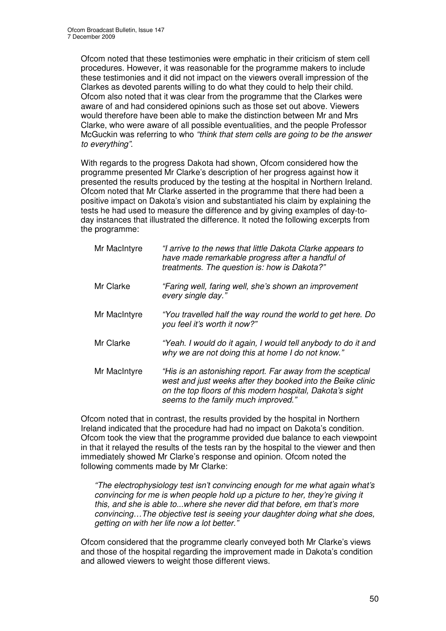Ofcom noted that these testimonies were emphatic in their criticism of stem cell procedures. However, it was reasonable for the programme makers to include these testimonies and it did not impact on the viewers overall impression of the Clarkes as devoted parents willing to do what they could to help their child. Ofcom also noted that it was clear from the programme that the Clarkes were aware of and had considered opinions such as those set out above. Viewers would therefore have been able to make the distinction between Mr and Mrs Clarke, who were aware of all possible eventualities, and the people Professor McGuckin was referring to who *"think that stem cells are going to be the answer to everything"*.

With regards to the progress Dakota had shown, Ofcom considered how the programme presented Mr Clarke's description of her progress against how it presented the results produced by the testing at the hospital in Northern Ireland. Ofcom noted that Mr Clarke asserted in the programme that there had been a positive impact on Dakota's vision and substantiated his claim by explaining the tests he had used to measure the difference and by giving examples of day-today instances that illustrated the difference. It noted the following excerpts from the programme:

| Mr MacIntyre | "I arrive to the news that little Dakota Clarke appears to<br>have made remarkable progress after a handful of<br>treatments. The question is: how is Dakota?"                                                                |
|--------------|-------------------------------------------------------------------------------------------------------------------------------------------------------------------------------------------------------------------------------|
| Mr Clarke    | "Faring well, faring well, she's shown an improvement<br>every single day."                                                                                                                                                   |
| Mr MacIntyre | "You travelled half the way round the world to get here. Do<br>you feel it's worth it now?"                                                                                                                                   |
| Mr Clarke    | "Yeah. I would do it again, I would tell anybody to do it and<br>why we are not doing this at home I do not know."                                                                                                            |
| Mr MacIntyre | "His is an astonishing report. Far away from the sceptical<br>west and just weeks after they booked into the Beike clinic<br>on the top floors of this modern hospital, Dakota's sight<br>seems to the family much improved." |

Ofcom noted that in contrast, the results provided by the hospital in Northern Ireland indicated that the procedure had had no impact on Dakota's condition. Ofcom took the view that the programme provided due balance to each viewpoint in that it relayed the results of the tests ran by the hospital to the viewer and then immediately showed Mr Clarke's response and opinion. Ofcom noted the following comments made by Mr Clarke:

*"The electrophysiology test isn't convincing enough for me what again what's convincing for me is when people hold up a picture to her, they're giving it this, and she is able to...where she never did that before, em that's more convincing…The objective test is seeing your daughter doing what she does, getting on with her life now a lot better."*

Ofcom considered that the programme clearly conveyed both Mr Clarke's views and those of the hospital regarding the improvement made in Dakota's condition and allowed viewers to weight those different views.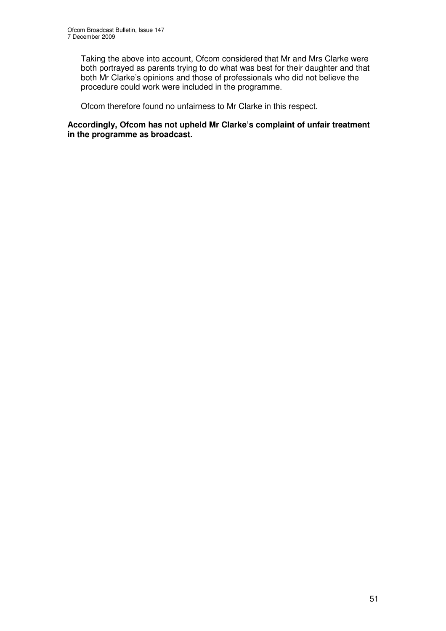Taking the above into account, Ofcom considered that Mr and Mrs Clarke were both portrayed as parents trying to do what was best for their daughter and that both Mr Clarke's opinions and those of professionals who did not believe the procedure could work were included in the programme.

Ofcom therefore found no unfairness to Mr Clarke in this respect.

#### **Accordingly, Ofcom has not upheld Mr Clarke's complaint of unfair treatment in the programme as broadcast.**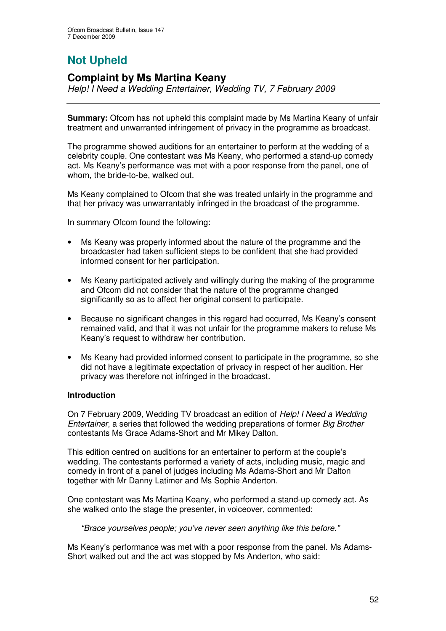# **Not Upheld**

## **Complaint by Ms Martina Keany**

*Help! I Need a Wedding Entertainer, Wedding TV, 7 February 2009*

**Summary:** Ofcom has not upheld this complaint made by Ms Martina Keany of unfair treatment and unwarranted infringement of privacy in the programme as broadcast.

The programme showed auditions for an entertainer to perform at the wedding of a celebrity couple. One contestant was Ms Keany, who performed a stand-up comedy act. Ms Keany's performance was met with a poor response from the panel, one of whom, the bride-to-be, walked out.

Ms Keany complained to Ofcom that she was treated unfairly in the programme and that her privacy was unwarrantably infringed in the broadcast of the programme.

In summary Ofcom found the following:

- Ms Keany was properly informed about the nature of the programme and the broadcaster had taken sufficient steps to be confident that she had provided informed consent for her participation.
- Ms Keany participated actively and willingly during the making of the programme and Ofcom did not consider that the nature of the programme changed significantly so as to affect her original consent to participate.
- Because no significant changes in this regard had occurred, Ms Keany's consent remained valid, and that it was not unfair for the programme makers to refuse Ms Keany's request to withdraw her contribution.
- Ms Keany had provided informed consent to participate in the programme, so she did not have a legitimate expectation of privacy in respect of her audition. Her privacy was therefore not infringed in the broadcast.

## **Introduction**

On 7 February 2009, Wedding TV broadcast an edition of *Help! I Need a Wedding Entertainer*, a series that followed the wedding preparations of former *Big Brother* contestants Ms Grace Adams-Short and Mr Mikey Dalton.

This edition centred on auditions for an entertainer to perform at the couple's wedding. The contestants performed a variety of acts, including music, magic and comedy in front of a panel of judges including Ms Adams-Short and Mr Dalton together with Mr Danny Latimer and Ms Sophie Anderton.

One contestant was Ms Martina Keany, who performed a stand-up comedy act. As she walked onto the stage the presenter, in voiceover, commented:

*"Brace yourselves people; you've never seen anything like this before."*

Ms Keany's performance was met with a poor response from the panel. Ms Adams-Short walked out and the act was stopped by Ms Anderton, who said: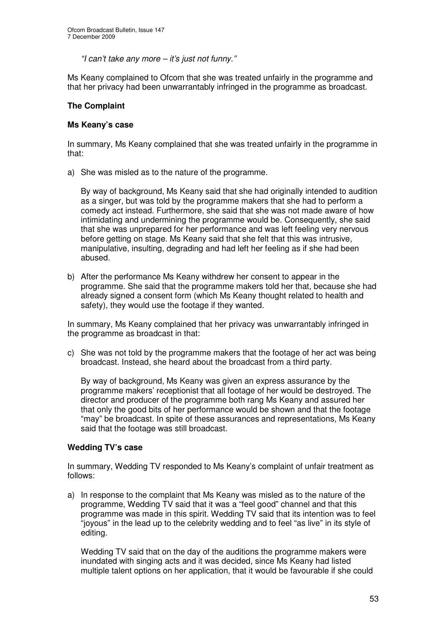*"I can't take any more – it's just not funny."*

Ms Keany complained to Ofcom that she was treated unfairly in the programme and that her privacy had been unwarrantably infringed in the programme as broadcast.

## **The Complaint**

## **Ms Keany's case**

In summary, Ms Keany complained that she was treated unfairly in the programme in that:

a) She was misled as to the nature of the programme.

By way of background, Ms Keany said that she had originally intended to audition as a singer, but was told by the programme makers that she had to perform a comedy act instead. Furthermore, she said that she was not made aware of how intimidating and undermining the programme would be. Consequently, she said that she was unprepared for her performance and was left feeling very nervous before getting on stage. Ms Keany said that she felt that this was intrusive, manipulative, insulting, degrading and had left her feeling as if she had been abused.

b) After the performance Ms Keany withdrew her consent to appear in the programme. She said that the programme makers told her that, because she had already signed a consent form (which Ms Keany thought related to health and safety), they would use the footage if they wanted.

In summary, Ms Keany complained that her privacy was unwarrantably infringed in the programme as broadcast in that:

c) She was not told by the programme makers that the footage of her act was being broadcast. Instead, she heard about the broadcast from a third party.

By way of background, Ms Keany was given an express assurance by the programme makers' receptionist that all footage of her would be destroyed. The director and producer of the programme both rang Ms Keany and assured her that only the good bits of her performance would be shown and that the footage "may" be broadcast. In spite of these assurances and representations, Ms Keany said that the footage was still broadcast.

## **Wedding TV's case**

In summary, Wedding TV responded to Ms Keany's complaint of unfair treatment as follows:

a) In response to the complaint that Ms Keany was misled as to the nature of the programme, Wedding TV said that it was a "feel good" channel and that this programme was made in this spirit. Wedding TV said that its intention was to feel "joyous" in the lead up to the celebrity wedding and to feel "as live" in its style of editing.

Wedding TV said that on the day of the auditions the programme makers were inundated with singing acts and it was decided, since Ms Keany had listed multiple talent options on her application, that it would be favourable if she could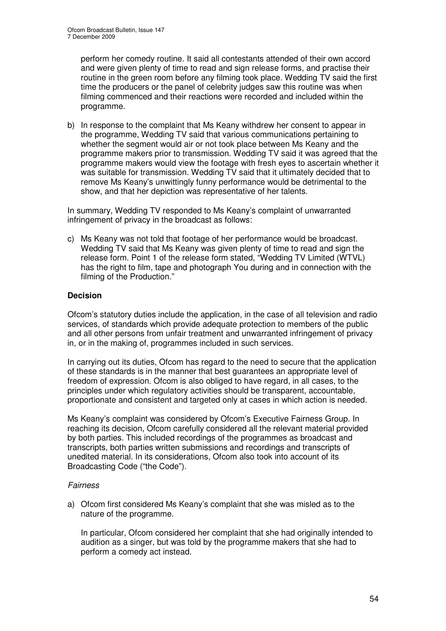perform her comedy routine. It said all contestants attended of their own accord and were given plenty of time to read and sign release forms, and practise their routine in the green room before any filming took place. Wedding TV said the first time the producers or the panel of celebrity judges saw this routine was when filming commenced and their reactions were recorded and included within the programme.

b) In response to the complaint that Ms Keany withdrew her consent to appear in the programme, Wedding TV said that various communications pertaining to whether the segment would air or not took place between Ms Keany and the programme makers prior to transmission. Wedding TV said it was agreed that the programme makers would view the footage with fresh eyes to ascertain whether it was suitable for transmission. Wedding TV said that it ultimately decided that to remove Ms Keany's unwittingly funny performance would be detrimental to the show, and that her depiction was representative of her talents.

In summary, Wedding TV responded to Ms Keany's complaint of unwarranted infringement of privacy in the broadcast as follows:

c) Ms Keany was not told that footage of her performance would be broadcast. Wedding TV said that Ms Keany was given plenty of time to read and sign the release form. Point 1 of the release form stated, "Wedding TV Limited (WTVL) has the right to film, tape and photograph You during and in connection with the filming of the Production."

## **Decision**

Ofcom's statutory duties include the application, in the case of all television and radio services, of standards which provide adequate protection to members of the public and all other persons from unfair treatment and unwarranted infringement of privacy in, or in the making of, programmes included in such services.

In carrying out its duties, Ofcom has regard to the need to secure that the application of these standards is in the manner that best guarantees an appropriate level of freedom of expression. Ofcom is also obliged to have regard, in all cases, to the principles under which regulatory activities should be transparent, accountable, proportionate and consistent and targeted only at cases in which action is needed.

Ms Keany's complaint was considered by Ofcom's Executive Fairness Group. In reaching its decision, Ofcom carefully considered all the relevant material provided by both parties. This included recordings of the programmes as broadcast and transcripts, both parties written submissions and recordings and transcripts of unedited material. In its considerations, Ofcom also took into account of its Broadcasting Code ("the Code").

## *Fairness*

a) Ofcom first considered Ms Keany's complaint that she was misled as to the nature of the programme.

In particular, Ofcom considered her complaint that she had originally intended to audition as a singer, but was told by the programme makers that she had to perform a comedy act instead.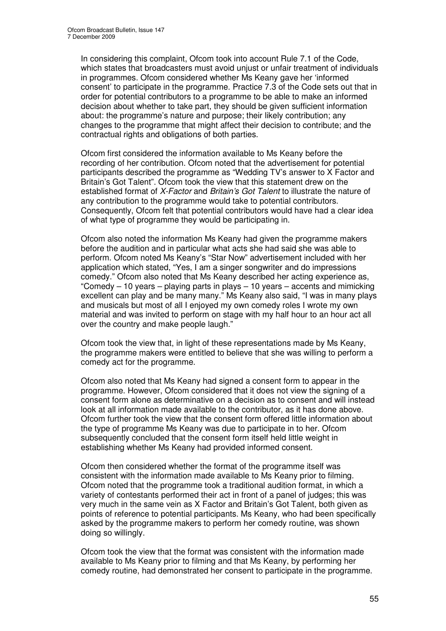In considering this complaint, Ofcom took into account Rule 7.1 of the Code, which states that broadcasters must avoid unjust or unfair treatment of individuals in programmes. Ofcom considered whether Ms Keany gave her 'informed consent' to participate in the programme. Practice 7.3 of the Code sets out that in order for potential contributors to a programme to be able to make an informed decision about whether to take part, they should be given sufficient information about: the programme's nature and purpose; their likely contribution; any changes to the programme that might affect their decision to contribute; and the contractual rights and obligations of both parties.

Ofcom first considered the information available to Ms Keany before the recording of her contribution. Ofcom noted that the advertisement for potential participants described the programme as "Wedding TV's answer to X Factor and Britain's Got Talent". Ofcom took the view that this statement drew on the established format of *X-Factor* and *Britain's Got Talent* to illustrate the nature of any contribution to the programme would take to potential contributors. Consequently, Ofcom felt that potential contributors would have had a clear idea of what type of programme they would be participating in.

Ofcom also noted the information Ms Keany had given the programme makers before the audition and in particular what acts she had said she was able to perform. Ofcom noted Ms Keany's "Star Now" advertisement included with her application which stated, "Yes, I am a singer songwriter and do impressions comedy." Ofcom also noted that Ms Keany described her acting experience as, "Comedy – 10 years – playing parts in plays – 10 years – accents and mimicking excellent can play and be many many." Ms Keany also said, "I was in many plays and musicals but most of all I enjoyed my own comedy roles I wrote my own material and was invited to perform on stage with my half hour to an hour act all over the country and make people laugh."

Ofcom took the view that, in light of these representations made by Ms Keany, the programme makers were entitled to believe that she was willing to perform a comedy act for the programme.

Ofcom also noted that Ms Keany had signed a consent form to appear in the programme. However, Ofcom considered that it does not view the signing of a consent form alone as determinative on a decision as to consent and will instead look at all information made available to the contributor, as it has done above. Ofcom further took the view that the consent form offered little information about the type of programme Ms Keany was due to participate in to her. Ofcom subsequently concluded that the consent form itself held little weight in establishing whether Ms Keany had provided informed consent.

Ofcom then considered whether the format of the programme itself was consistent with the information made available to Ms Keany prior to filming. Ofcom noted that the programme took a traditional audition format, in which a variety of contestants performed their act in front of a panel of judges; this was very much in the same vein as X Factor and Britain's Got Talent, both given as points of reference to potential participants. Ms Keany, who had been specifically asked by the programme makers to perform her comedy routine, was shown doing so willingly.

Ofcom took the view that the format was consistent with the information made available to Ms Keany prior to filming and that Ms Keany, by performing her comedy routine, had demonstrated her consent to participate in the programme.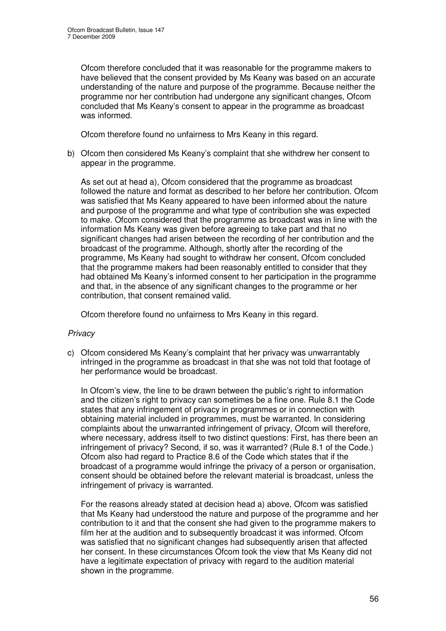Ofcom therefore concluded that it was reasonable for the programme makers to have believed that the consent provided by Ms Keany was based on an accurate understanding of the nature and purpose of the programme. Because neither the programme nor her contribution had undergone any significant changes, Ofcom concluded that Ms Keany's consent to appear in the programme as broadcast was informed.

Ofcom therefore found no unfairness to Mrs Keany in this regard.

b) Ofcom then considered Ms Keany's complaint that she withdrew her consent to appear in the programme.

As set out at head a), Ofcom considered that the programme as broadcast followed the nature and format as described to her before her contribution. Ofcom was satisfied that Ms Keany appeared to have been informed about the nature and purpose of the programme and what type of contribution she was expected to make. Ofcom considered that the programme as broadcast was in line with the information Ms Keany was given before agreeing to take part and that no significant changes had arisen between the recording of her contribution and the broadcast of the programme. Although, shortly after the recording of the programme, Ms Keany had sought to withdraw her consent, Ofcom concluded that the programme makers had been reasonably entitled to consider that they had obtained Ms Keany's informed consent to her participation in the programme and that, in the absence of any significant changes to the programme or her contribution, that consent remained valid.

Ofcom therefore found no unfairness to Mrs Keany in this regard.

## *Privacy*

c) Ofcom considered Ms Keany's complaint that her privacy was unwarrantably infringed in the programme as broadcast in that she was not told that footage of her performance would be broadcast.

In Ofcom's view, the line to be drawn between the public's right to information and the citizen's right to privacy can sometimes be a fine one. Rule 8.1 the Code states that any infringement of privacy in programmes or in connection with obtaining material included in programmes, must be warranted. In considering complaints about the unwarranted infringement of privacy, Ofcom will therefore, where necessary, address itself to two distinct questions: First, has there been an infringement of privacy? Second, if so, was it warranted? (Rule 8.1 of the Code.) Ofcom also had regard to Practice 8.6 of the Code which states that if the broadcast of a programme would infringe the privacy of a person or organisation, consent should be obtained before the relevant material is broadcast, unless the infringement of privacy is warranted.

For the reasons already stated at decision head a) above, Ofcom was satisfied that Ms Keany had understood the nature and purpose of the programme and her contribution to it and that the consent she had given to the programme makers to film her at the audition and to subsequently broadcast it was informed. Ofcom was satisfied that no significant changes had subsequently arisen that affected her consent. In these circumstances Ofcom took the view that Ms Keany did not have a legitimate expectation of privacy with regard to the audition material shown in the programme.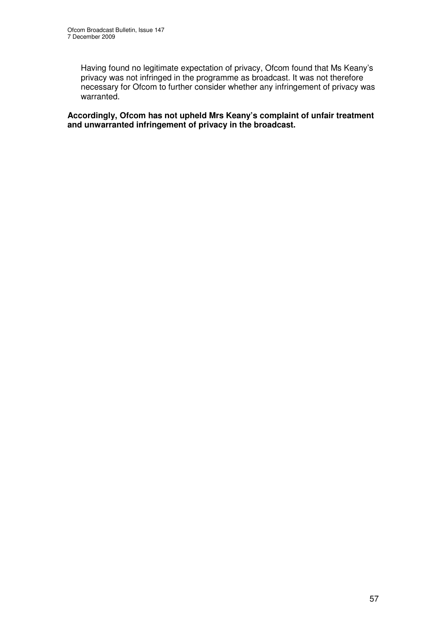Having found no legitimate expectation of privacy, Ofcom found that Ms Keany's privacy was not infringed in the programme as broadcast. It was not therefore necessary for Ofcom to further consider whether any infringement of privacy was warranted.

**Accordingly, Ofcom has not upheld Mrs Keany's complaint of unfair treatment and unwarranted infringement of privacy in the broadcast.**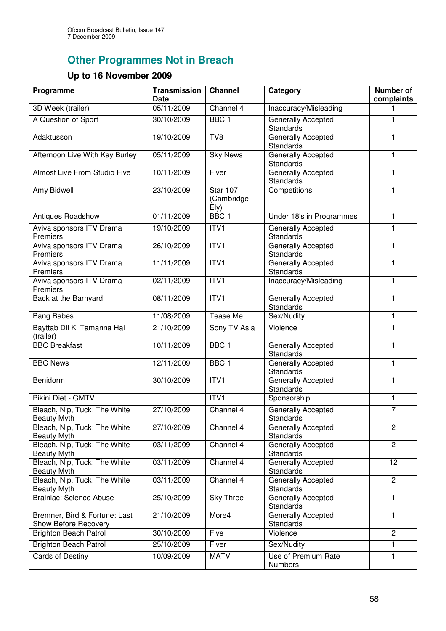# **Other Programmes Not in Breach**

## **Up to 16 November 2009**

| Programme                                             | <b>Transmission</b><br><b>Date</b> | <b>Channel</b>                 | Category                                      | Number of<br>complaints |
|-------------------------------------------------------|------------------------------------|--------------------------------|-----------------------------------------------|-------------------------|
| 3D Week (trailer)                                     | 05/11/2009                         | Channel 4                      | Inaccuracy/Misleading                         |                         |
| A Question of Sport                                   | 30/10/2009                         | BBC <sub>1</sub>               | Generally Accepted<br><b>Standards</b>        | 1                       |
| Adaktusson                                            | 19/10/2009                         | TV8                            | Generally Accepted<br><b>Standards</b>        | 1                       |
| Afternoon Live With Kay Burley                        | 05/11/2009                         | <b>Sky News</b>                | Generally Accepted<br>Standards               | 1                       |
| Almost Live From Studio Five                          | 10/11/2009                         | Fiver                          | Generally Accepted<br>Standards               | 1                       |
| Amy Bidwell                                           | 23/10/2009                         | Star 107<br>(Cambridge<br>E(y) | Competitions                                  | 1                       |
| Antiques Roadshow                                     | 01/11/2009                         | BBC <sub>1</sub>               | Under 18's in Programmes                      | 1                       |
| Aviva sponsors ITV Drama<br>Premiers                  | 19/10/2009                         | ITV <sub>1</sub>               | Generally Accepted<br><b>Standards</b>        | 1                       |
| Aviva sponsors ITV Drama<br>Premiers                  | 26/10/2009                         | ITV1                           | Generally Accepted<br><b>Standards</b>        | 1                       |
| Aviva sponsors ITV Drama<br>Premiers                  | 11/11/2009                         | ITVI                           | <b>Generally Accepted</b><br><b>Standards</b> | 1                       |
| Aviva sponsors ITV Drama<br>Premiers                  | 02/11/2009                         | ITVI                           | Inaccuracy/Misleading                         | 1                       |
| Back at the Barnyard                                  | 08/11/2009                         | ITV1                           | Generally Accepted<br>Standards               | 1                       |
| <b>Bang Babes</b>                                     | 11/08/2009                         | Tease Me                       | Sex/Nudity                                    | $\mathbf{1}$            |
| Bayttab Dil Ki Tamanna Hai<br>(trailer)               | 21/10/2009                         | Sony TV Asia                   | Violence                                      | 1                       |
| <b>BBC Breakfast</b>                                  | 10/11/2009                         | BBC <sub>1</sub>               | Generally Accepted<br>Standards               | 1                       |
| <b>BBC News</b>                                       | 12/11/2009                         | BBC <sub>1</sub>               | Generally Accepted<br>Standards               | 1                       |
| Benidorm                                              | 30/10/2009                         | ITV1                           | Generally Accepted<br>Standards               | 1                       |
| <b>Bikini Diet - GMTV</b>                             |                                    | ITVI                           | Sponsorship                                   | $\mathbf{1}$            |
| Bleach, Nip, Tuck: The White<br><b>Beauty Myth</b>    | 27/10/2009                         | Channel 4                      | Generally Accepted<br><b>Standards</b>        | $\overline{7}$          |
| Bleach, Nip, Tuck: The White<br><b>Beauty Myth</b>    | 27/10/2009                         | Channel 4                      | Generally Accepted<br><b>Standards</b>        | $\overline{c}$          |
| Bleach, Nip, Tuck: The White<br><b>Beauty Myth</b>    | 03/11/2009                         | Channel 4                      | Generally Accepted<br><b>Standards</b>        | $\overline{c}$          |
| Bleach, Nip, Tuck: The White<br><b>Beauty Myth</b>    | 03/11/2009                         | Channel 4                      | Generally Accepted<br><b>Standards</b>        | 12                      |
| Bleach, Nip, Tuck: The White<br><b>Beauty Myth</b>    | 03/11/2009                         | Channel 4                      | Generally Accepted<br><b>Standards</b>        | $\overline{c}$          |
| <b>Brainiac: Science Abuse</b>                        | 25/10/2009                         | <b>Sky Three</b>               | Generally Accepted<br><b>Standards</b>        | 1                       |
| Bremner, Bird & Fortune: Last<br>Show Before Recovery | 21/10/2009                         | More4                          | Generally Accepted<br><b>Standards</b>        | 1                       |
| <b>Brighton Beach Patrol</b>                          | 30/10/2009                         | Five                           | Violence                                      | $\overline{2}$          |
| <b>Brighton Beach Patrol</b>                          | 25/10/2009                         | Fiver                          | Sex/Nudity                                    | 1                       |
| <b>Cards of Destiny</b>                               | 10/09/2009                         | <b>MATV</b>                    | Use of Premium Rate<br><b>Numbers</b>         | 1                       |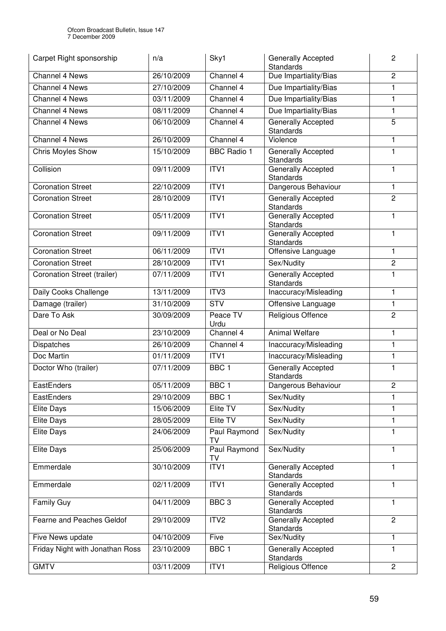| Carpet Right sponsorship           | n/a        | Sky1                      | <b>Generally Accepted</b><br>Standards        | 2              |
|------------------------------------|------------|---------------------------|-----------------------------------------------|----------------|
| <b>Channel 4 News</b>              | 26/10/2009 | Channel 4                 | Due Impartiality/Bias                         | $\overline{2}$ |
| Channel 4 News                     | 27/10/2009 | Channel 4                 | Due Impartiality/Bias                         | 1              |
| <b>Channel 4 News</b>              | 03/11/2009 | Channel 4                 | Due Impartiality/Bias                         | $\mathbf{1}$   |
| <b>Channel 4 News</b>              | 08/11/2009 | Channel 4                 | Due Impartiality/Bias                         | 1              |
| Channel 4 News                     | 06/10/2009 | Channel 4                 | Generally Accepted<br><b>Standards</b>        | 5              |
| <b>Channel 4 News</b>              | 26/10/2009 | Channel 4                 | Violence                                      | 1              |
| Chris Moyles Show                  | 15/10/2009 | <b>BBC Radio 1</b>        | Generally Accepted<br><b>Standards</b>        | 1              |
| Collision                          | 09/11/2009 | ITVI                      | Generally Accepted<br><b>Standards</b>        | 1              |
| <b>Coronation Street</b>           | 22/10/2009 | ITVI                      | Dangerous Behaviour                           | 1              |
| <b>Coronation Street</b>           | 28/10/2009 | ITV1                      | <b>Generally Accepted</b><br>Standards        | $\overline{2}$ |
| <b>Coronation Street</b>           | 05/11/2009 | ITVI                      | <b>Generally Accepted</b><br>Standards        | 1              |
| <b>Coronation Street</b>           | 09/11/2009 | ITVI                      | <b>Generally Accepted</b><br><b>Standards</b> | 1              |
| <b>Coronation Street</b>           | 06/11/2009 | ITV1                      | Offensive Language                            | 1              |
| <b>Coronation Street</b>           | 28/10/2009 | ITV <sub>1</sub>          | Sex/Nudity                                    | 2              |
| <b>Coronation Street (trailer)</b> | 07/11/2009 | ITV <sub>1</sub>          | <b>Generally Accepted</b><br><b>Standards</b> | $\mathbf{1}$   |
| Daily Cooks Challenge              | 13/11/2009 | ITV <sub>3</sub>          | Inaccuracy/Misleading                         | 1              |
| Damage (trailer)                   | 31/10/2009 | <b>STV</b>                | Offensive Language                            | 1              |
| Dare To Ask                        | 30/09/2009 | Peace TV<br>Urdu          | Religious Offence                             | $\overline{c}$ |
| Deal or No Deal                    | 23/10/2009 | Channel 4                 | <b>Animal Welfare</b>                         | 1              |
| Dispatches                         | 26/10/2009 | Channel 4                 | Inaccuracy/Misleading                         | 1              |
| Doc Martin                         | 01/11/2009 | ITV <sub>1</sub>          | Inaccuracy/Misleading                         | 1              |
| Doctor Who (trailer)               | 07/11/2009 | BBC <sub>1</sub>          | Generally Accepted<br><b>Standards</b>        | 1              |
| EastEnders                         | 05/11/2009 | BBC 1                     | Dangerous Behaviour                           | $\mathbf 2$    |
| EastEnders                         | 29/10/2009 | BBC <sub>1</sub>          | Sex/Nudity                                    | 1              |
| <b>Elite Days</b>                  | 15/06/2009 | Elite TV                  | Sex/Nudity                                    | 1              |
| <b>Elite Days</b>                  | 28/05/2009 | Elite TV                  | Sex/Nudity                                    | 1              |
| <b>Elite Days</b>                  | 24/06/2009 | <b>Paul Raymond</b><br>TV | Sex/Nudity                                    | 1              |
| <b>Elite Days</b>                  | 25/06/2009 | <b>Paul Raymond</b><br>TV | Sex/Nudity                                    | 1              |
| Emmerdale                          | 30/10/2009 | ITV1                      | Generally Accepted<br><b>Standards</b>        | 1              |
| Emmerdale                          | 02/11/2009 | ITV <sub>1</sub>          | Generally Accepted<br><b>Standards</b>        | 1              |
| <b>Family Guy</b>                  | 04/11/2009 | BBC <sub>3</sub>          | Generally Accepted<br><b>Standards</b>        | 1              |
| Fearne and Peaches Geldof          | 29/10/2009 | ITV <sub>2</sub>          | Generally Accepted<br>Standards               | $\overline{c}$ |
| Five News update                   | 04/10/2009 | Five                      | Sex/Nudity                                    | 1              |
| Friday Night with Jonathan Ross    | 23/10/2009 | BBC <sub>1</sub>          | Generally Accepted<br>Standards               | 1              |
| <b>GMTV</b>                        | 03/11/2009 | ITV1                      | Religious Offence                             | $\overline{2}$ |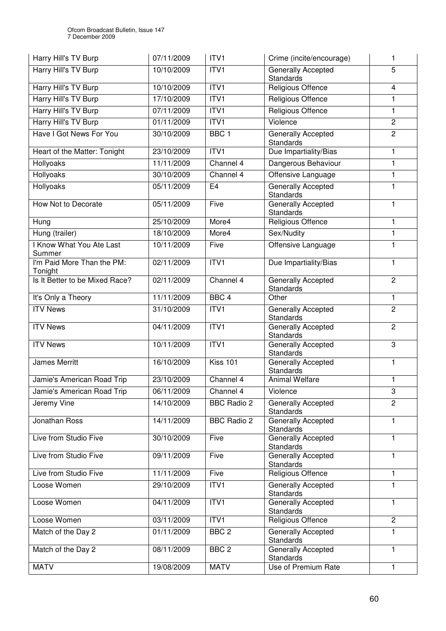| Harry Hill's TV Burp                  | 07/11/2009 | ITV1               | Crime (incite/encourage)                      | 1                       |
|---------------------------------------|------------|--------------------|-----------------------------------------------|-------------------------|
| Harry Hill's TV Burp                  | 10/10/2009 | ITVI               | Generally Accepted<br><b>Standards</b>        | 5                       |
| Harry Hill's TV Burp                  | 10/10/2009 | ITV <sub>1</sub>   | Religious Offence                             | $\overline{\mathbf{4}}$ |
| <b>Harry Hill's TV Burp</b>           | 17/10/2009 | ITVI               | Religious Offence                             | $\mathbf{1}$            |
| Harry Hill's TV Burp                  | 07/11/2009 | ITV1               | Religious Offence                             | 1                       |
| Harry Hill's TV Burp                  | 01/11/2009 | ITV1               | Violence                                      | $\overline{2}$          |
| Have I Got News For You               | 30/10/2009 | BBC <sub>1</sub>   | <b>Generally Accepted</b><br><b>Standards</b> | $\overline{2}$          |
| Heart of the Matter: Tonight          | 23/10/2009 | ITV1               | Due Impartiality/Bias                         | 1                       |
| Hollyoaks                             | 11/11/2009 | Channel 4          | Dangerous Behaviour                           | $\mathbf{1}$            |
| Hollyoaks                             | 30/10/2009 | Channel 4          | Offensive Language                            | 1                       |
| Hollyoaks                             | 05/11/2009 | E4                 | <b>Generally Accepted</b><br><b>Standards</b> | 1                       |
| How Not to Decorate                   | 05/11/2009 | Five               | Generally Accepted<br><b>Standards</b>        | 1                       |
| Hung                                  | 25/10/2009 | More4              | <b>Religious Offence</b>                      | 1                       |
| Hung (trailer)                        | 18/10/2009 | More4              | Sex/Nudity                                    | 1                       |
| I Know What You Ate Last<br>Summer    | 10/11/2009 | Five               | Offensive Language                            | 1                       |
| I'm Paid More Than the PM:<br>Tonight | 02/11/2009 | ITV1               | Due Impartiality/Bias                         | 1                       |
| Is It Better to be Mixed Race?        | 02/11/2009 | Channel 4          | Generally Accepted<br><b>Standards</b>        | $\overline{2}$          |
| It's Only a Theory                    | 11/11/2009 | BBC <sub>4</sub>   | Other                                         | 1                       |
| <b>ITV News</b>                       | 31/10/2009 | ITVI               | Generally Accepted<br><b>Standards</b>        | $\overline{2}$          |
| <b>ITV News</b>                       | 04/11/2009 | ITVI               | Generally Accepted<br><b>Standards</b>        | $\overline{c}$          |
| <b>ITV News</b>                       | 10/11/2009 | ITV1               | <b>Generally Accepted</b><br><b>Standards</b> | 3                       |
| <b>James Merritt</b>                  | 16/10/2009 | <b>Kiss 101</b>    | <b>Generally Accepted</b><br><b>Standards</b> | 1                       |
| Jamie's American Road Trip            | 23/10/2009 | Channel 4          | <b>Animal Welfare</b>                         | 1                       |
| Jamie's American Road Trip            | 06/11/2009 | Channel 4          | Violence                                      | 3                       |
| Jeremy Vine                           | 14/10/2009 | <b>BBC Radio 2</b> | Generally Accepted<br><b>Standards</b>        | $\overline{c}$          |
| Jonathan Ross                         | 14/11/2009 | <b>BBC Radio 2</b> | Generally Accepted<br><b>Standards</b>        | 1                       |
| Live from Studio Five                 | 30/10/2009 | Five               | <b>Generally Accepted</b><br>Standards        | 1                       |
| Live from Studio Five                 | 09/11/2009 | Five               | Generally Accepted<br><b>Standards</b>        | 1                       |
| Live from Studio Five                 | 11/11/2009 | Five               | Religious Offence                             | 1                       |
| Loose Women                           | 29/10/2009 | ITV1               | Generally Accepted<br><b>Standards</b>        | 1                       |
| Loose Women                           | 04/11/2009 | ITV <sub>1</sub>   | Generally Accepted<br><b>Standards</b>        | 1                       |
| Loose Women                           | 03/11/2009 | ITV1               | Religious Offence                             | $\overline{2}$          |
| Match of the Day 2                    | 01/11/2009 | BBC <sub>2</sub>   | Generally Accepted<br><b>Standards</b>        | 1                       |
| Match of the Day 2                    | 08/11/2009 | BBC <sub>2</sub>   | Generally Accepted<br><b>Standards</b>        | 1                       |
| <b>MATV</b>                           | 19/08/2009 | <b>MATV</b>        | Use of Premium Rate                           | 1                       |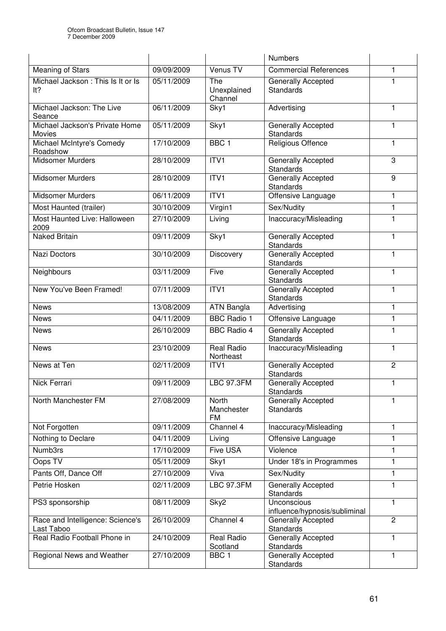|                                                |            |                                  | <b>Numbers</b>                                |                |
|------------------------------------------------|------------|----------------------------------|-----------------------------------------------|----------------|
| <b>Meaning of Stars</b>                        | 09/09/2009 | Venus TV                         | <b>Commercial References</b>                  | 1              |
| Michael Jackson: This Is It or Is<br>lt?       | 05/11/2009 | The<br>Unexplained<br>Channel    | Generally Accepted<br><b>Standards</b>        | 1              |
| Michael Jackson: The Live<br>Seance            | 06/11/2009 | Sky1                             | Advertising                                   | 1              |
| Michael Jackson's Private Home<br>Movies       | 05/11/2009 | Sky1                             | <b>Generally Accepted</b><br><b>Standards</b> | 1              |
| Michael McIntyre's Comedy<br>Roadshow          | 17/10/2009 | BBC <sub>1</sub>                 | Religious Offence                             | 1              |
| <b>Midsomer Murders</b>                        | 28/10/2009 | ITV1                             | Generally Accepted<br>Standards               | 3              |
| <b>Midsomer Murders</b>                        | 28/10/2009 | ITVI                             | Generally Accepted<br><b>Standards</b>        | 9              |
| <b>Midsomer Murders</b>                        | 06/11/2009 | ITVI                             | Offensive Language                            | 1              |
| Most Haunted (trailer)                         | 30/10/2009 | Virgin1                          | Sex/Nudity                                    | 1              |
| Most Haunted Live: Halloween<br>2009           | 27/10/2009 | Living                           | Inaccuracy/Misleading                         | 1              |
| <b>Naked Britain</b>                           | 09/11/2009 | Sky1                             | Generally Accepted<br><b>Standards</b>        | 1              |
| <b>Nazi Doctors</b>                            | 30/10/2009 | Discovery                        | <b>Generally Accepted</b><br>Standards        | 1              |
| Neighbours                                     | 03/11/2009 | Five                             | Generally Accepted<br>Standards               | 1              |
| New You've Been Framed!                        | 07/11/2009 | ITV <sub>1</sub>                 | Generally Accepted<br>Standards               | 1              |
| <b>News</b>                                    | 13/08/2009 | <b>ATN Bangla</b>                | Advertising                                   | 1              |
| <b>News</b>                                    | 04/11/2009 | <b>BBC Radio 1</b>               | Offensive Language                            | 1              |
| <b>News</b>                                    | 26/10/2009 | <b>BBC Radio 4</b>               | Generally Accepted<br><b>Standards</b>        | 1              |
| <b>News</b>                                    | 23/10/2009 | <b>Real Radio</b><br>Northeast   | Inaccuracy/Misleading                         | $\mathbf{1}$   |
| News at Ten                                    | 02/11/2009 | ITV1                             | <b>Generally Accepted</b><br><b>Standards</b> | $\overline{2}$ |
| <b>Nick Ferrari</b>                            | 09/11/2009 | <b>LBC 97.3FM</b>                | Generally Accepted<br>Standards               | 1              |
| North Manchester FM                            | 27/08/2009 | North<br>Manchester<br><b>FM</b> | Generally Accepted<br><b>Standards</b>        | 1.             |
| Not Forgotten                                  | 09/11/2009 | Channel 4                        | Inaccuracy/Misleading                         | 1              |
| Nothing to Declare                             | 04/11/2009 | Living                           | Offensive Language                            | 1              |
| Numb3rs                                        | 17/10/2009 | Five USA                         | Violence                                      | 1              |
| Oops TV                                        | 05/11/2009 | Sky1                             | Under 18's in Programmes                      | 1              |
| Pants Off, Dance Off                           | 27/10/2009 | Viva                             | Sex/Nudity                                    | 1              |
| Petrie Hosken                                  | 02/11/2009 | <b>LBC 97.3FM</b>                | Generally Accepted<br><b>Standards</b>        | 1              |
| PS3 sponsorship                                | 08/11/2009 | Sky2                             | Unconscious<br>influence/hypnosis/subliminal  | 1              |
| Race and Intelligence: Science's<br>Last Taboo | 26/10/2009 | Channel 4                        | <b>Generally Accepted</b><br>Standards        | $\overline{c}$ |
| Real Radio Football Phone in                   | 24/10/2009 | <b>Real Radio</b><br>Scotland    | Generally Accepted<br><b>Standards</b>        | 1              |
| Regional News and Weather                      | 27/10/2009 | BBC <sub>1</sub>                 | Generally Accepted<br><b>Standards</b>        | 1              |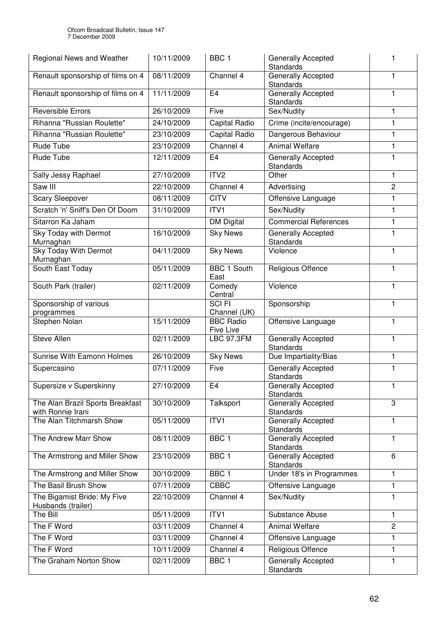| Regional News and Weather                             | 10/11/2009 | BBC <sub>1</sub>                     | Generally Accepted<br><b>Standards</b>        | 1              |
|-------------------------------------------------------|------------|--------------------------------------|-----------------------------------------------|----------------|
| Renault sponsorship of films on 4                     | 08/11/2009 | Channel 4                            | Generally Accepted<br><b>Standards</b>        | 1              |
| Renault sponsorship of films on 4                     | 11/11/2009 | E <sub>4</sub>                       | Generally Accepted<br><b>Standards</b>        | 1              |
| <b>Reversible Errors</b>                              | 26/10/2009 | Five                                 | Sex/Nudity                                    | 1              |
| Rihanna "Russian Roulette"                            | 24/10/2009 | <b>Capital Radio</b>                 | Crime (incite/encourage)                      | 1              |
| Rihanna "Russian Roulette"                            | 23/10/2009 | Capital Radio                        | Dangerous Behaviour                           | 1              |
| Rude Tube                                             | 23/10/2009 | Channel 4                            | <b>Animal Welfare</b>                         | 1              |
| Rude Tube                                             | 12/11/2009 | E <sub>4</sub>                       | Generally Accepted<br><b>Standards</b>        | 1              |
| <b>Sally Jessy Raphael</b>                            | 27/10/2009 | ITV2                                 | Other                                         | 1              |
| Saw III                                               | 22/10/2009 | Channel 4                            | Advertising                                   | $\overline{c}$ |
| <b>Scary Sleepover</b>                                | 08/11/2009 | <b>CITV</b>                          | Offensive Language                            | 1              |
| Scratch 'n' Sniff's Den Of Doom                       | 31/10/2009 | ITV1                                 | Sex/Nudity                                    | 1              |
| Sitarron Ka Jaham                                     |            | <b>DM Digital</b>                    | <b>Commercial References</b>                  | 1              |
| Sky Today with Dermot<br>Murnaghan                    | 16/10/2009 | <b>Sky News</b>                      | Generally Accepted<br><b>Standards</b>        | 1              |
| <b>Sky Today With Dermot</b><br>Murnaghan             | 04/11/2009 | <b>Sky News</b>                      | Violence                                      | 1              |
| South East Today                                      | 05/11/2009 | <b>BBC 1 South</b><br>East           | Religious Offence                             | 1              |
| South Park (trailer)                                  | 02/11/2009 | Comedy<br>Central                    | Violence                                      | 1              |
| Sponsorship of various<br>programmes                  |            | <b>SCIFI</b><br>Channel (UK)         | Sponsorship                                   | 1              |
| Stephen Nolan                                         | 15/11/2009 | <b>BBC Radio</b><br><b>Five Live</b> | Offensive Language                            | 1              |
| Steve Allen                                           | 02/11/2009 | <b>LBC 97.3FM</b>                    | Generally Accepted<br><b>Standards</b>        | 1              |
| Sunrise With Eamonn Holmes                            | 26/10/2009 | <b>Sky News</b>                      | Due Impartiality/Bias                         | 1              |
| Supercasino                                           | 07/11/2009 | Five                                 | Generally Accepted<br>Standards               | 1              |
| Supersize v Superskinny                               | 27/10/2009 | $\overline{E}4$                      | Generally Accepted<br><b>Standards</b>        | 1              |
| The Alan Brazil Sports Breakfast<br>with Ronnie Irani | 30/10/2009 | Talksport                            | Generally Accepted<br><b>Standards</b>        | 3              |
| The Alan Titchmarsh Show                              | 05/11/2009 | ITV1                                 | <b>Generally Accepted</b><br><b>Standards</b> | 1              |
| The Andrew Marr Show                                  | 08/11/2009 | BBC <sub>1</sub>                     | <b>Generally Accepted</b><br><b>Standards</b> | 1              |
| The Armstrong and Miller Show                         | 23/10/2009 | BBC <sub>1</sub>                     | <b>Generally Accepted</b><br>Standards        | 6              |
| The Armstrong and Miller Show                         | 30/10/2009 | BBC <sub>1</sub>                     | Under 18's in Programmes                      | 1              |
| The Basil Brush Show                                  | 07/11/2009 | <b>CBBC</b>                          | Offensive Language                            | 1              |
| The Bigamist Bride: My Five<br>Husbands (trailer)     | 22/10/2009 | Channel 4                            | Sex/Nudity                                    | 1              |
| The Bill                                              | 05/11/2009 | ITV1                                 | Substance Abuse                               | 1              |
| The F Word                                            | 03/11/2009 | Channel 4                            | <b>Animal Welfare</b>                         | $\overline{2}$ |
| The F Word                                            | 03/11/2009 | Channel 4                            | Offensive Language                            | 1              |
| The F Word                                            | 10/11/2009 | Channel 4                            | Religious Offence                             | 1              |
| The Graham Norton Show                                | 02/11/2009 | BBC <sub>1</sub>                     | Generally Accepted<br><b>Standards</b>        | 1              |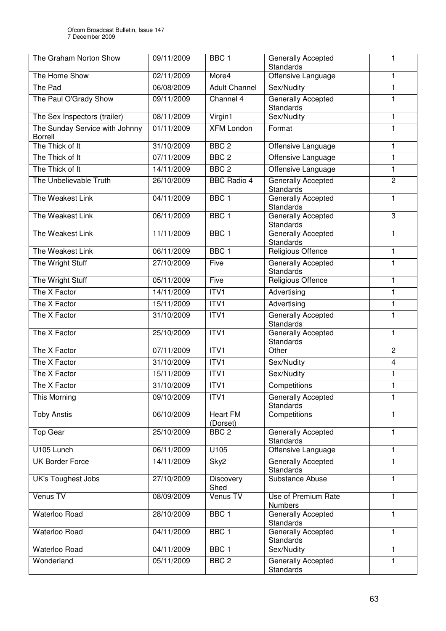| The Graham Norton Show                           | 09/11/2009 | BBC <sub>1</sub>            | <b>Generally Accepted</b><br><b>Standards</b> | 1              |
|--------------------------------------------------|------------|-----------------------------|-----------------------------------------------|----------------|
| The Home Show                                    | 02/11/2009 | More4                       | Offensive Language                            | 1              |
| The Pad                                          | 06/08/2009 | <b>Adult Channel</b>        | Sex/Nudity                                    | $\mathbf{1}$   |
| The Paul O'Grady Show                            | 09/11/2009 | Channel 4                   | Generally Accepted<br><b>Standards</b>        | 1              |
| The Sex Inspectors (trailer)                     | 08/11/2009 | Virgin1                     | Sex/Nudity                                    | $\mathbf{1}$   |
| The Sunday Service with Johnny<br><b>Borrell</b> | 01/11/2009 | <b>XFM London</b>           | Format                                        | 1              |
| The Thick of It                                  | 31/10/2009 | BBC <sub>2</sub>            | Offensive Language                            | 1              |
| The Thick of It                                  | 07/11/2009 | BBC <sub>2</sub>            | Offensive Language                            | 1              |
| The Thick of It                                  | 14/11/2009 | BBC <sub>2</sub>            | Offensive Language                            | $\mathbf{1}$   |
| The Unbelievable Truth                           | 26/10/2009 | <b>BBC Radio 4</b>          | Generally Accepted<br>Standards               | $\overline{c}$ |
| The Weakest Link                                 | 04/11/2009 | BBC <sub>1</sub>            | <b>Generally Accepted</b><br>Standards        | 1              |
| The Weakest Link                                 | 06/11/2009 | BBC <sub>1</sub>            | <b>Generally Accepted</b><br>Standards        | 3              |
| The Weakest Link                                 | 11/11/2009 | BBC <sub>1</sub>            | <b>Generally Accepted</b><br><b>Standards</b> | 1              |
| The Weakest Link                                 | 06/11/2009 | BBC <sub>1</sub>            | Religious Offence                             | 1              |
| The Wright Stuff                                 | 27/10/2009 | Five                        | Generally Accepted<br><b>Standards</b>        | 1              |
| The Wright Stuff                                 | 05/11/2009 | Five                        | Religious Offence                             | 1              |
| The X Factor                                     | 14/11/2009 | ITV1                        | Advertising                                   | 1              |
| The X Factor                                     | 15/11/2009 | ITV <sub>1</sub>            | Advertising                                   | $\mathbf{1}$   |
| The X Factor                                     | 31/10/2009 | ITV1                        | Generally Accepted<br>Standards               | 1              |
| The X Factor                                     | 25/10/2009 | ITVI                        | Generally Accepted<br>Standards               | 1              |
| The X Factor                                     | 07/11/2009 | ITV <sub>1</sub>            | Other                                         | $\overline{c}$ |
| The X Factor                                     | 31/10/2009 | ITVI                        | Sex/Nudity                                    | 4              |
| The X Factor                                     | 15/11/2009 | ITV1                        | Sex/Nudity                                    | 1              |
| The X Factor                                     | 31/10/2009 | ITV1                        | Competitions                                  | 1              |
| This Morning                                     | 09/10/2009 | ITV1                        | Generally Accepted<br><b>Standards</b>        | $\mathbf{1}$   |
| <b>Toby Anstis</b>                               | 06/10/2009 | <b>Heart FM</b><br>(Dorset) | Competitions                                  | 1              |
| <b>Top Gear</b>                                  | 25/10/2009 | BBC <sub>2</sub>            | Generally Accepted<br><b>Standards</b>        | 1              |
| U105 Lunch                                       | 06/11/2009 | U105                        | Offensive Language                            | 1              |
| <b>UK Border Force</b>                           | 14/11/2009 | Sky2                        | Generally Accepted<br><b>Standards</b>        | 1              |
| <b>UK's Toughest Jobs</b>                        | 27/10/2009 | <b>Discovery</b><br>Shed    | Substance Abuse                               | $\mathbf{1}$   |
| Venus TV                                         | 08/09/2009 | Venus TV                    | Use of Premium Rate<br><b>Numbers</b>         | 1              |
| Waterloo Road                                    | 28/10/2009 | BBC <sub>1</sub>            | Generally Accepted<br><b>Standards</b>        | 1              |
| Waterloo Road                                    | 04/11/2009 | BBC <sub>1</sub>            | Generally Accepted<br><b>Standards</b>        | 1              |
| Waterloo Road                                    | 04/11/2009 | BBC <sub>1</sub>            | Sex/Nudity                                    | $\mathbf{1}$   |
| Wonderland                                       | 05/11/2009 | BBC <sub>2</sub>            | Generally Accepted<br><b>Standards</b>        | 1              |